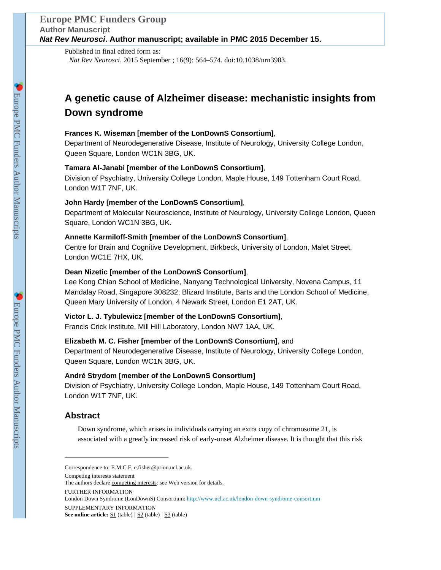Published in final edited form as: *Nat Rev Neurosci*. 2015 September ; 16(9): 564–574. doi:10.1038/nrn3983.

# **A genetic cause of Alzheimer disease: mechanistic insights from Down syndrome**

### **Frances K. Wiseman [member of the LonDownS Consortium]**,

Department of Neurodegenerative Disease, Institute of Neurology, University College London, Queen Square, London WC1N 3BG, UK.

### **Tamara Al-Janabi [member of the LonDownS Consortium]**,

Division of Psychiatry, University College London, Maple House, 149 Tottenham Court Road, London W1T 7NF, UK.

### **John Hardy [member of the LonDownS Consortium]**,

Department of Molecular Neuroscience, Institute of Neurology, University College London, Queen Square, London WC1N 3BG, UK.

### **Annette Karmiloff-Smith [member of the LonDownS Consortium]**,

Centre for Brain and Cognitive Development, Birkbeck, University of London, Malet Street, London WC1E 7HX, UK.

### **Dean Nizetic [member of the LonDownS Consortium]**,

Lee Kong Chian School of Medicine, Nanyang Technological University, Novena Campus, 11 Mandalay Road, Singapore 308232; Blizard Institute, Barts and the London School of Medicine, Queen Mary University of London, 4 Newark Street, London E1 2AT, UK.

### **Victor L. J. Tybulewicz [member of the LonDownS Consortium]**,

Francis Crick Institute, Mill Hill Laboratory, London NW7 1AA, UK.

### **Elizabeth M. C. Fisher [member of the LonDownS Consortium]**, and

Department of Neurodegenerative Disease, Institute of Neurology, University College London, Queen Square, London WC1N 3BG, UK.

### **André Strydom [member of the LonDownS Consortium]**

Division of Psychiatry, University College London, Maple House, 149 Tottenham Court Road, London W1T 7NF, UK.

### **Abstract**

Down syndrome, which arises in individuals carrying an extra copy of chromosome 21, is associated with a greatly increased risk of early-onset Alzheimer disease. It is thought that this risk

London Down Syndrome (LonDownS) Consortium: <http://www.ucl.ac.uk/london-down-syndrome-consortium>

Correspondence to: E.M.C.F. e.fisher@prion.ucl.ac.uk.

Competing interests statement

The authors declare competing interests: see Web version for details.

FURTHER INFORMATION

SUPPLEMENTARY INFORMATION

See online article: <u>S1</u> (table) | S2 (table) | S3 (table)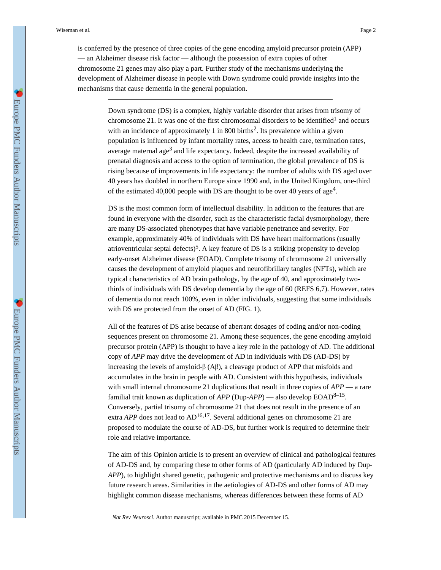Down syndrome (DS) is a complex, highly variable disorder that arises from trisomy of chromosome 21. It was one of the first chromosomal disorders to be identified<sup>1</sup> and occurs with an incidence of approximately 1 in 800 births<sup>2</sup>. Its prevalence within a given population is influenced by infant mortality rates, access to health care, termination rates, average maternal age<sup>3</sup> and life expectancy. Indeed, despite the increased availability of prenatal diagnosis and access to the option of termination, the global prevalence of DS is rising because of improvements in life expectancy: the number of adults with DS aged over 40 years has doubled in northern Europe since 1990 and, in the United Kingdom, one-third of the estimated 40,000 people with DS are thought to be over 40 years of age<sup>4</sup>.

DS is the most common form of intellectual disability. In addition to the features that are found in everyone with the disorder, such as the characteristic facial dysmorphology, there are many DS-associated phenotypes that have variable penetrance and severity. For example, approximately 40% of individuals with DS have heart malformations (usually atrioventricular septal defects)<sup>5</sup>. A key feature of DS is a striking propensity to develop early-onset Alzheimer disease (EOAD). Complete trisomy of chromosome 21 universally causes the development of amyloid plaques and neurofibrillary tangles (NFTs), which are typical characteristics of AD brain pathology, by the age of 40, and approximately twothirds of individuals with DS develop dementia by the age of 60 (REFS 6,7). However, rates of dementia do not reach 100%, even in older individuals, suggesting that some individuals with DS are protected from the onset of AD (FIG. 1).

All of the features of DS arise because of aberrant dosages of coding and/or non-coding sequences present on chromosome 21. Among these sequences, the gene encoding amyloid precursor protein (APP) is thought to have a key role in the pathology of AD. The additional copy of *APP* may drive the development of AD in individuals with DS (AD-DS) by increasing the levels of amyloid- $\beta$  (A $\beta$ ), a cleavage product of APP that misfolds and accumulates in the brain in people with AD. Consistent with this hypothesis, individuals with small internal chromosome 21 duplications that result in three copies of *APP* — a rare familial trait known as duplication of *APP* (Dup-*APP*) — also develop EOAD<sup>8-15</sup>. Conversely, partial trisomy of chromosome 21 that does not result in the presence of an extra *APP* does not lead to  $AD^{16,17}$ . Several additional genes on chromosome 21 are proposed to modulate the course of AD-DS, but further work is required to determine their role and relative importance.

The aim of this Opinion article is to present an overview of clinical and pathological features of AD-DS and, by comparing these to other forms of AD (particularly AD induced by Dup-*APP*), to highlight shared genetic, pathogenic and protective mechanisms and to discuss key future research areas. Similarities in the aetiologies of AD-DS and other forms of AD may highlight common disease mechanisms, whereas differences between these forms of AD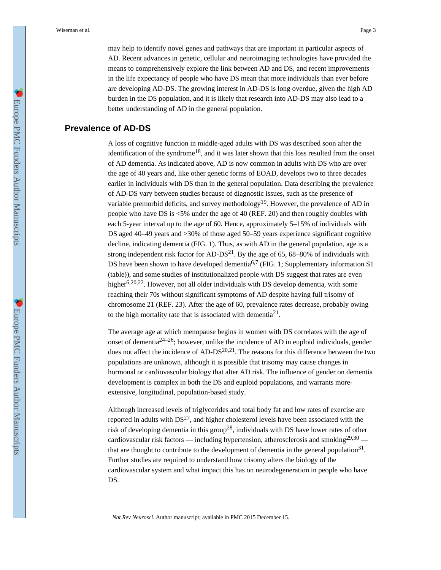may help to identify novel genes and pathways that are important in particular aspects of AD. Recent advances in genetic, cellular and neuroimaging technologies have provided the means to comprehensively explore the link between AD and DS, and recent improvements in the life expectancy of people who have DS mean that more individuals than ever before are developing AD-DS. The growing interest in AD-DS is long overdue, given the high AD burden in the DS population, and it is likely that research into AD-DS may also lead to a better understanding of AD in the general population.

### **Prevalence of AD-DS**

A loss of cognitive function in middle-aged adults with DS was described soon after the identification of the syndrome<sup>18</sup>, and it was later shown that this loss resulted from the onset of AD dementia. As indicated above, AD is now common in adults with DS who are over the age of 40 years and, like other genetic forms of EOAD, develops two to three decades earlier in individuals with DS than in the general population. Data describing the prevalence of AD-DS vary between studies because of diagnostic issues, such as the presence of variable premorbid deficits, and survey methodology<sup>19</sup>. However, the prevalence of AD in people who have DS is <5% under the age of 40 (REF. 20) and then roughly doubles with each 5-year interval up to the age of 60. Hence, approximately 5–15% of individuals with DS aged 40–49 years and >30% of those aged 50–59 years experience significant cognitive decline, indicating dementia (FIG. 1). Thus, as with AD in the general population, age is a strong independent risk factor for  $AD-DS<sup>21</sup>$ . By the age of 65, 68–80% of individuals with DS have been shown to have developed dementia<sup>6,7</sup> (FIG. 1; Supplementary information S1 (table)), and some studies of institutionalized people with DS suggest that rates are even higher<sup>6,20,22</sup>. However, not all older individuals with DS develop dementia, with some reaching their 70s without significant symptoms of AD despite having full trisomy of chromosome 21 (REF. 23). After the age of 60, prevalence rates decrease, probably owing to the high mortality rate that is associated with dementia $2<sup>1</sup>$ .

The average age at which menopause begins in women with DS correlates with the age of onset of dementia<sup>24–26</sup>; however, unlike the incidence of AD in euploid individuals, gender does not affect the incidence of AD-DS $^{20,21}$ . The reasons for this difference between the two populations are unknown, although it is possible that trisomy may cause changes in hormonal or cardiovascular biology that alter AD risk. The influence of gender on dementia development is complex in both the DS and euploid populations, and warrants moreextensive, longitudinal, population-based study.

Although increased levels of triglycerides and total body fat and low rates of exercise are reported in adults with  $DS^{27}$ , and higher cholesterol levels have been associated with the risk of developing dementia in this group<sup>28</sup>, individuals with DS have lower rates of other cardiovascular risk factors — including hypertension, atherosclerosis and smoking<sup>29,30</sup> that are thought to contribute to the development of dementia in the general population<sup>31</sup>. Further studies are required to understand how trisomy alters the biology of the cardiovascular system and what impact this has on neurodegeneration in people who have DS.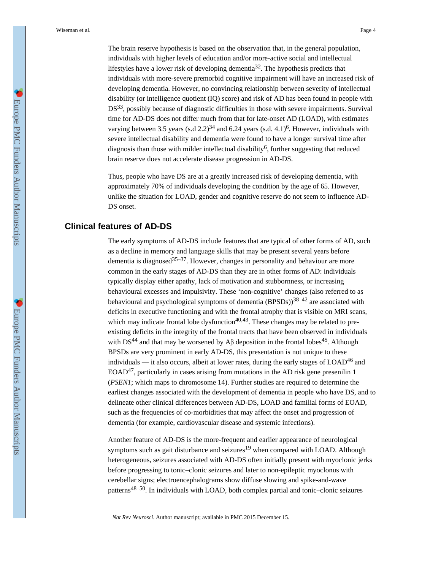The brain reserve hypothesis is based on the observation that, in the general population, individuals with higher levels of education and/or more-active social and intellectual lifestyles have a lower risk of developing dementia<sup>32</sup>. The hypothesis predicts that individuals with more-severe premorbid cognitive impairment will have an increased risk of developing dementia. However, no convincing relationship between severity of intellectual disability (or intelligence quotient (IQ) score) and risk of AD has been found in people with DS<sup>33</sup>, possibly because of diagnostic difficulties in those with severe impairments. Survival time for AD-DS does not differ much from that for late-onset AD (LOAD), with estimates varying between 3.5 years  $(s.d 2.2)^{34}$  and 6.24 years  $(s.d. 4.1)^{6}$ . However, individuals with severe intellectual disability and dementia were found to have a longer survival time after diagnosis than those with milder intellectual disability<sup>6</sup>, further suggesting that reduced brain reserve does not accelerate disease progression in AD-DS.

Thus, people who have DS are at a greatly increased risk of developing dementia, with approximately 70% of individuals developing the condition by the age of 65. However, unlike the situation for LOAD, gender and cognitive reserve do not seem to influence AD-DS onset.

## **Clinical features of AD-DS**

The early symptoms of AD-DS include features that are typical of other forms of AD, such as a decline in memory and language skills that may be present several years before dementia is diagnosed  $35-37$ . However, changes in personality and behaviour are more common in the early stages of AD-DS than they are in other forms of AD: individuals typically display either apathy, lack of motivation and stubbornness, or increasing behavioural excesses and impulsivity. These 'non-cognitive' changes (also referred to as behavioural and psychological symptoms of dementia  $(BPSDs)$ <sup>38–42</sup> are associated with deficits in executive functioning and with the frontal atrophy that is visible on MRI scans, which may indicate frontal lobe dysfunction<sup>40,43</sup>. These changes may be related to preexisting deficits in the integrity of the frontal tracts that have been observed in individuals with DS<sup>44</sup> and that may be worsened by A $\beta$  deposition in the frontal lobes<sup>45</sup>. Although BPSDs are very prominent in early AD-DS, this presentation is not unique to these individuals — it also occurs, albeit at lower rates, during the early stages of  $LOAD<sup>46</sup>$  and  $EOAD<sup>47</sup>$ , particularly in cases arising from mutations in the AD risk gene presenilin 1 (*PSEN1*; which maps to chromosome 14). Further studies are required to determine the earliest changes associated with the development of dementia in people who have DS, and to delineate other clinical differences between AD-DS, LOAD and familial forms of EOAD, such as the frequencies of co-morbidities that may affect the onset and progression of dementia (for example, cardiovascular disease and systemic infections).

Another feature of AD-DS is the more-frequent and earlier appearance of neurological symptoms such as gait disturbance and seizures<sup>19</sup> when compared with LOAD. Although heterogeneous, seizures associated with AD-DS often initially present with myoclonic jerks before progressing to tonic–clonic seizures and later to non-epileptic myoclonus with cerebellar signs; electroencephalograms show diffuse slowing and spike-and-wave patterns<sup>48–50</sup>. In individuals with LOAD, both complex partial and tonic–clonic seizures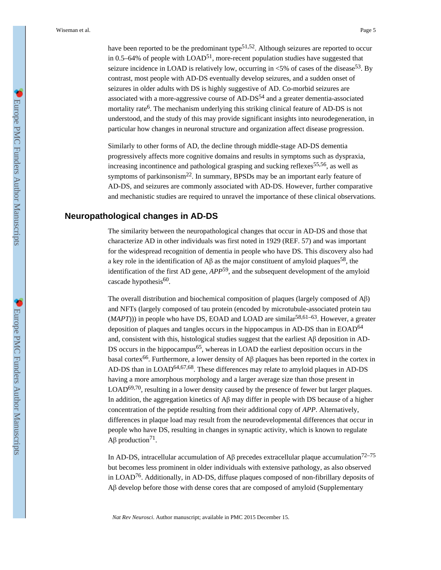have been reported to be the predominant type<sup>51,52</sup>. Although seizures are reported to occur in 0.5–64% of people with  $LOAD<sup>51</sup>$ , more-recent population studies have suggested that seizure incidence in LOAD is relatively low, occurring in  $\langle 5\%$  of cases of the disease<sup>53</sup>. By contrast, most people with AD-DS eventually develop seizures, and a sudden onset of seizures in older adults with DS is highly suggestive of AD. Co-morbid seizures are associated with a more-aggressive course of  $AD-DS<sup>54</sup>$  and a greater dementia-associated mortality rate<sup>6</sup>. The mechanism underlying this striking clinical feature of AD-DS is not understood, and the study of this may provide significant insights into neurodegeneration, in particular how changes in neuronal structure and organization affect disease progression.

Similarly to other forms of AD, the decline through middle-stage AD-DS dementia progressively affects more cognitive domains and results in symptoms such as dyspraxia, increasing incontinence and pathological grasping and sucking reflexes<sup>55,56</sup>, as well as symptoms of parkinsonism<sup>22</sup>. In summary, BPSDs may be an important early feature of AD-DS, and seizures are commonly associated with AD-DS. However, further comparative and mechanistic studies are required to unravel the importance of these clinical observations.

### **Neuropathological changes in AD-DS**

The similarity between the neuropathological changes that occur in AD-DS and those that characterize AD in other individuals was first noted in 1929 (REF. 57) and was important for the widespread recognition of dementia in people who have DS. This discovery also had a key role in the identification of A $\beta$  as the major constituent of amyloid plaques<sup>58</sup>, the identification of the first AD gene, *APP*59, and the subsequent development of the amyloid cascade hypothesis<sup>60</sup>.

The overall distribution and biochemical composition of plaques (largely composed of Aβ) and NFTs (largely composed of tau protein (encoded by microtubule-associated protein tau  $(MAPT)$ )) in people who have DS, EOAD and LOAD are similar<sup>58,61–63</sup>. However, a greater deposition of plaques and tangles occurs in the hippocampus in AD-DS than in EOAD<sup>64</sup> and, consistent with this, histological studies suggest that the earliest  $\mathbf{A}\beta$  deposition in AD-DS occurs in the hippocampus<sup>65</sup>, whereas in LOAD the earliest deposition occurs in the basal cortex<sup>66</sup>. Furthermore, a lower density of A $\beta$  plaques has been reported in the cortex in AD-DS than in LOAD<sup>64,67,68</sup>. These differences may relate to amyloid plaques in AD-DS having a more amorphous morphology and a larger average size than those present in  $LOAD<sup>69,70</sup>$ , resulting in a lower density caused by the presence of fewer but larger plaques. In addition, the aggregation kinetics of Aβ may differ in people with DS because of a higher concentration of the peptide resulting from their additional copy of *APP*. Alternatively, differences in plaque load may result from the neurodevelopmental differences that occur in people who have DS, resulting in changes in synaptic activity, which is known to regulate Aβ production<sup>71</sup>.

In AD-DS, intracellular accumulation of Aβ precedes extracellular plaque accumulation<sup>72–75</sup> but becomes less prominent in older individuals with extensive pathology, as also observed in LOAD76. Additionally, in AD-DS, diffuse plaques composed of non-fibrillary deposits of Aβ develop before those with dense cores that are composed of amyloid (Supplementary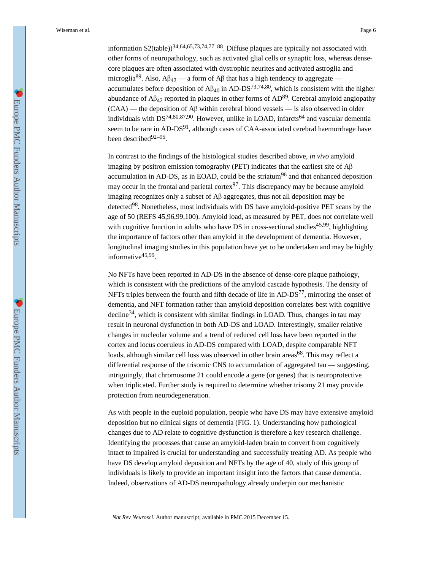information  $S2$ (table))<sup>34,64,65,73,74,77–88</sup>. Diffuse plaques are typically not associated with other forms of neuropathology, such as activated glial cells or synaptic loss, whereas densecore plaques are often associated with dystrophic neurites and activated astroglia and microglia<sup>89</sup>. Also,  $A\beta_{42}$  — a form of  $A\beta$  that has a high tendency to aggregate accumulates before deposition of  $\mathbf{A}\beta_{40}$  in AD-DS<sup>73,74,80</sup>, which is consistent with the higher abundance of  $A\beta_{42}$  reported in plaques in other forms of  $AD^{89}$ . Cerebral amyloid angiopathy (CAA) — the deposition of Aβ within cerebral blood vessels — is also observed in older individuals with  $DS^{74,80,87,90}$ . However, unlike in LOAD, infarcts<sup>64</sup> and vascular dementia seem to be rare in AD-DS<sup>91</sup>, although cases of CAA-associated cerebral haemorrhage have been described<sup>92–95</sup>.

In contrast to the findings of the histological studies described above, *in vivo* amyloid imaging by positron emission tomography (PET) indicates that the earliest site of Aβ accumulation in AD-DS, as in EOAD, could be the striatum<sup>96</sup> and that enhanced deposition may occur in the frontal and parietal cortex $97$ . This discrepancy may be because amyloid imaging recognizes only a subset of Aβ aggregates, thus not all deposition may be detected<sup>98</sup>. Nonetheless, most individuals with DS have amyloid-positive PET scans by the age of 50 (REFS 45,96,99,100). Amyloid load, as measured by PET, does not correlate well with cognitive function in adults who have DS in cross-sectional studies<sup>45,99</sup>, highlighting the importance of factors other than amyloid in the development of dementia. However, longitudinal imaging studies in this population have yet to be undertaken and may be highly informative<sup>45,99</sup>.

No NFTs have been reported in AD-DS in the absence of dense-core plaque pathology, which is consistent with the predictions of the amyloid cascade hypothesis. The density of NFTs triples between the fourth and fifth decade of life in  $AD-DS^{77}$ , mirroring the onset of dementia, and NFT formation rather than amyloid deposition correlates best with cognitive decline<sup>34</sup>, which is consistent with similar findings in LOAD. Thus, changes in tau may result in neuronal dysfunction in both AD-DS and LOAD. Interestingly, smaller relative changes in nucleolar volume and a trend of reduced cell loss have been reported in the cortex and locus coeruleus in AD-DS compared with LOAD, despite comparable NFT loads, although similar cell loss was observed in other brain areas<sup>68</sup>. This may reflect a differential response of the trisomic CNS to accumulation of aggregated tau — suggesting, intriguingly, that chromosome 21 could encode a gene (or genes) that is neuroprotective when triplicated. Further study is required to determine whether trisomy 21 may provide protection from neurodegeneration.

As with people in the euploid population, people who have DS may have extensive amyloid deposition but no clinical signs of dementia (FIG. 1). Understanding how pathological changes due to AD relate to cognitive dysfunction is therefore a key research challenge. Identifying the processes that cause an amyloid-laden brain to convert from cognitively intact to impaired is crucial for understanding and successfully treating AD. As people who have DS develop amyloid deposition and NFTs by the age of 40, study of this group of individuals is likely to provide an important insight into the factors that cause dementia. Indeed, observations of AD-DS neuropathology already underpin our mechanistic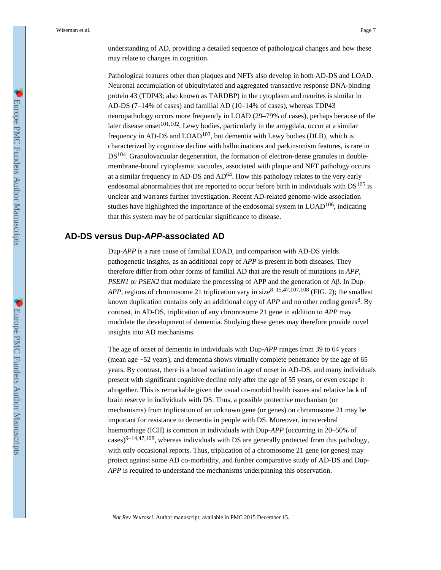understanding of AD, providing a detailed sequence of pathological changes and how these may relate to changes in cognition.

Pathological features other than plaques and NFTs also develop in both AD-DS and LOAD. Neuronal accumulation of ubiquitylated and aggregated transactive response DNA-binding protein 43 (TDP43; also known as TARDBP) in the cytoplasm and neurites is similar in AD-DS (7–14% of cases) and familial AD (10–14% of cases), whereas TDP43 neuropathology occurs more frequently in LOAD (29–79% of cases), perhaps because of the later disease onset<sup>101,102</sup>. Lewy bodies, particularly in the amygdala, occur at a similar frequency in AD-DS and  $LOAD^{103}$ , but dementia with Lewy bodies (DLB), which is characterized by cognitive decline with hallucinations and parkinsonism features, is rare in  $DS<sup>104</sup>$ . Granulovacuolar degeneration, the formation of electron-dense granules in doublemembrane-bound cytoplasmic vacuoles, associated with plaque and NFT pathology occurs at a similar frequency in AD-DS and  $AD^{64}$ . How this pathology relates to the very early endosomal abnormalities that are reported to occur before birth in individuals with DS<sup>105</sup> is unclear and warrants further investigation. Recent AD-related genome-wide association studies have highlighted the importance of the endosomal system in LOAD<sup>106</sup>, indicating that this system may be of particular significance to disease.

### **AD-DS versus Dup-APP-associated AD**

Dup-*APP* is a rare cause of familial EOAD, and comparison with AD-DS yields pathogenetic insights, as an additional copy of *APP* is present in both diseases. They therefore differ from other forms of familial AD that are the result of mutations in *APP*, *PSEN1* or *PSEN2* that modulate the processing of APP and the generation of Aβ. In Dup-*APP*, regions of chromosome 21 triplication vary in size<sup>8–15,47,107,108</sup> (FIG. 2); the smallest known duplication contains only an additional copy of *APP* and no other coding genes<sup>8</sup>. By contrast, in AD-DS, triplication of any chromosome 21 gene in addition to *APP* may modulate the development of dementia. Studying these genes may therefore provide novel insights into AD mechanisms.

The age of onset of dementia in individuals with Dup-*APP* ranges from 39 to 64 years (mean age ~52 years), and dementia shows virtually complete penetrance by the age of 65 years. By contrast, there is a broad variation in age of onset in AD-DS, and many individuals present with significant cognitive decline only after the age of 55 years, or even escape it altogether. This is remarkable given the usual co-morbid health issues and relative lack of brain reserve in individuals with DS. Thus, a possible protective mechanism (or mechanisms) from triplication of an unknown gene (or genes) on chromosome 21 may be important for resistance to dementia in people with DS. Moreover, intracerebral haemorrhage (ICH) is common in individuals with Dup-*APP* (occurring in 20–50% of cases) $9-14,47,108$ , whereas individuals with DS are generally protected from this pathology, with only occasional reports. Thus, triplication of a chromosome 21 gene (or genes) may protect against some AD co-morbidity, and further comparative study of AD-DS and Dup-*APP* is required to understand the mechanisms underpinning this observation.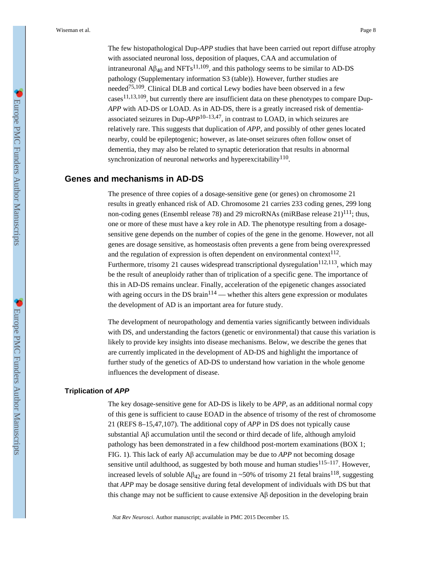The few histopathological Dup-*APP* studies that have been carried out report diffuse atrophy with associated neuronal loss, deposition of plaques, CAA and accumulation of intraneuronal  $\mathbf{A}\beta_{40}$  and NFTs<sup>11,109</sup>, and this pathology seems to be similar to AD-DS pathology (Supplementary information S3 (table)). However, further studies are needed<sup>75,109</sup>. Clinical DLB and cortical Lewy bodies have been observed in a few  $cases^{11,13,109}$ , but currently there are insufficient data on these phenotypes to compare Dup-*APP* with AD-DS or LOAD. As in AD-DS, there is a greatly increased risk of dementiaassociated seizures in Dup-*APP*10–13,47, in contrast to LOAD, in which seizures are relatively rare. This suggests that duplication of *APP*, and possibly of other genes located nearby, could be epileptogenic; however, as late-onset seizures often follow onset of dementia, they may also be related to synaptic deterioration that results in abnormal synchronization of neuronal networks and hyperexcitability  $110$ .

### **Genes and mechanisms in AD-DS**

The presence of three copies of a dosage-sensitive gene (or genes) on chromosome 21 results in greatly enhanced risk of AD. Chromosome 21 carries 233 coding genes, 299 long non-coding genes (Ensembl release 78) and 29 microRNAs (miRBase release  $21$ )<sup>111</sup>; thus, one or more of these must have a key role in AD. The phenotype resulting from a dosagesensitive gene depends on the number of copies of the gene in the genome. However, not all genes are dosage sensitive, as homeostasis often prevents a gene from being overexpressed and the regulation of expression is often dependent on environmental context $^{112}$ . Furthermore, trisomy 21 causes widespread transcriptional dysregulation<sup>112,113</sup>, which may be the result of aneuploidy rather than of triplication of a specific gene. The importance of this in AD-DS remains unclear. Finally, acceleration of the epigenetic changes associated with ageing occurs in the DS brain<sup>114</sup> — whether this alters gene expression or modulates the development of AD is an important area for future study.

The development of neuropathology and dementia varies significantly between individuals with DS, and understanding the factors (genetic or environmental) that cause this variation is likely to provide key insights into disease mechanisms. Below, we describe the genes that are currently implicated in the development of AD-DS and highlight the importance of further study of the genetics of AD-DS to understand how variation in the whole genome influences the development of disease.

#### **Triplication of APP**

The key dosage-sensitive gene for AD-DS is likely to be *APP*, as an additional normal copy of this gene is sufficient to cause EOAD in the absence of trisomy of the rest of chromosome 21 (REFS 8–15,47,107). The additional copy of *APP* in DS does not typically cause substantial Aβ accumulation until the second or third decade of life, although amyloid pathology has been demonstrated in a few childhood post-mortem examinations (BOX 1; FIG. 1). This lack of early Aβ accumulation may be due to *APP* not becoming dosage sensitive until adulthood, as suggested by both mouse and human studies<sup>115–117</sup>. However, increased levels of soluble A $\beta_{42}$  are found in ~50% of trisomy 21 fetal brains<sup>118</sup>, suggesting that *APP* may be dosage sensitive during fetal development of individuals with DS but that this change may not be sufficient to cause extensive Aβ deposition in the developing brain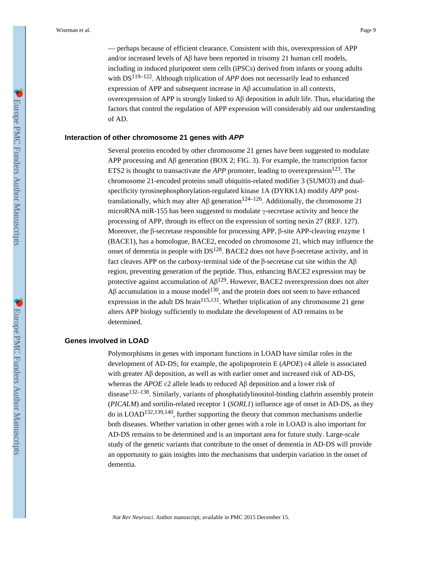— perhaps because of efficient clearance. Consistent with this, overexpression of APP and/or increased levels of Aβ have been reported in trisomy 21 human cell models, including in induced pluripotent stem cells (iPSCs) derived from infants or young adults with DS<sup>119–122</sup>. Although triplication of *APP* does not necessarily lead to enhanced expression of APP and subsequent increase in Aβ accumulation in all contexts, overexpression of APP is strongly linked to Aβ deposition in adult life. Thus, elucidating the factors that control the regulation of APP expression will considerably aid our understanding of AD.

#### **Interaction of other chromosome 21 genes with APP**

Several proteins encoded by other chromosome 21 genes have been suggested to modulate APP processing and A $\beta$  generation (BOX 2; FIG. 3). For example, the transcription factor ETS2 is thought to transactivate the *APP* promoter, leading to overexpression<sup>123</sup>. The chromosome 21-encoded proteins small ubiquitin-related modifier 3 (SUMO3) and dualspecificity tyrosinephosphorylation-regulated kinase 1A (DYRK1A) modify *APP* posttranslationally, which may alter A $\beta$  generation<sup>124–126</sup>. Additionally, the chromosome 21 microRNA miR-155 has been suggested to modulate γ-secretase activity and hence the processing of APP, through its effect on the expression of sorting nexin 27 (REF. 127). Moreover, the β-secretase responsible for processing APP, β-site APP-cleaving enzyme 1 (BACE1), has a homologue, BACE2, encoded on chromosome 21, which may influence the onset of dementia in people with  $DS<sup>128</sup>$ . BACE2 does not have β-secretase activity, and in fact cleaves APP on the carboxy-terminal side of the β-secretase cut site within the Aβ region, preventing generation of the peptide. Thus, enhancing BACE2 expression may be protective against accumulation of  $\mathsf{A}\beta^{129}$ . However, BACE2 overexpression does not alter Aβ accumulation in a mouse model<sup>130</sup>, and the protein does not seem to have enhanced expression in the adult DS brain<sup>115,131</sup>. Whether triplication of any chromosome 21 gene alters APP biology sufficiently to modulate the development of AD remains to be determined.

### **Genes involved in LOAD**

Polymorphisms in genes with important functions in LOAD have similar roles in the development of AD-DS; for example, the apolipoprotein E (*APOE*) ε4 allele is associated with greater Aβ deposition, as well as with earlier onset and increased risk of AD-DS, whereas the *APOE* ε2 allele leads to reduced Aβ deposition and a lower risk of disease<sup>132–138</sup>. Similarly, variants of phosphatidylinositol-binding clathrin assembly protein (*PICALM*) and sortilin-related receptor 1 (*SORL1*) influence age of onset in AD-DS, as they do in LOAD132,139,140, further supporting the theory that common mechanisms underlie both diseases. Whether variation in other genes with a role in LOAD is also important for AD-DS remains to be determined and is an important area for future study. Large-scale study of the genetic variants that contribute to the onset of dementia in AD-DS will provide an opportunity to gain insights into the mechanisms that underpin variation in the onset of dementia.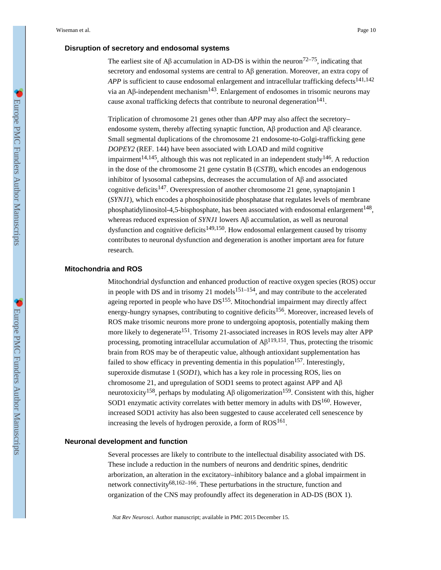### **Disruption of secretory and endosomal systems**

The earliest site of A $\beta$  accumulation in AD-DS is within the neuron<sup>72–75</sup>, indicating that secretory and endosomal systems are central to Aβ generation. Moreover, an extra copy of *APP* is sufficient to cause endosomal enlargement and intracellular trafficking defects<sup>141,142</sup> via an Aβ-independent mechanism<sup>143</sup>. Enlargement of endosomes in trisomic neurons may cause axonal trafficking defects that contribute to neuronal degeneration $^{141}$ .

Triplication of chromosome 21 genes other than *APP* may also affect the secretory– endosome system, thereby affecting synaptic function, Aβ production and Aβ clearance. Small segmental duplications of the chromosome 21 endosome-to-Golgi-trafficking gene *DOPEY2* (REF. 144) have been associated with LOAD and mild cognitive impairment<sup>14,145</sup>, although this was not replicated in an independent study<sup>146</sup>. A reduction in the dose of the chromosome 21 gene cystatin B (*CSTB*), which encodes an endogenous inhibitor of lysosomal cathepsins, decreases the accumulation of Aβ and associated cognitive deficits<sup>147</sup>. Overexpression of another chromosome 21 gene, synaptojanin 1 (*SYNJ1*), which encodes a phosphoinositide phosphatase that regulates levels of membrane phosphatidylinositol-4,5-bisphosphate, has been associated with endosomal enlargement<sup>148</sup>, whereas reduced expression of *SYNJ1* lowers Aβ accumulation, as well as neuronal dysfunction and cognitive deficits<sup>149,150</sup>. How endosomal enlargement caused by trisomy contributes to neuronal dysfunction and degeneration is another important area for future research.

#### **Mitochondria and ROS**

Mitochondrial dysfunction and enhanced production of reactive oxygen species (ROS) occur in people with DS and in trisomy 21 models $151-154$ , and may contribute to the accelerated ageing reported in people who have  $DS^{155}$ . Mitochondrial impairment may directly affect energy-hungry synapses, contributing to cognitive deficits<sup>156</sup>. Moreover, increased levels of ROS make trisomic neurons more prone to undergoing apoptosis, potentially making them more likely to degenerate<sup>151</sup>. Trisomy 21-associated increases in ROS levels may alter APP processing, promoting intracellular accumulation of  $\mathsf{A}\beta^{119,151}$ . Thus, protecting the trisomic brain from ROS may be of therapeutic value, although antioxidant supplementation has failed to show efficacy in preventing dementia in this population<sup>157</sup>. Interestingly, superoxide dismutase 1 (*SOD1*), which has a key role in processing ROS, lies on chromosome 21, and upregulation of SOD1 seems to protect against APP and Aβ neurotoxicity<sup>158</sup>, perhaps by modulating A $\beta$  oligomerization<sup>159</sup>. Consistent with this, higher SOD1 enzymatic activity correlates with better memory in adults with  $DS^{160}$ . However, increased SOD1 activity has also been suggested to cause accelerated cell senescence by increasing the levels of hydrogen peroxide, a form of  $ROS^{161}$ .

#### **Neuronal development and function**

Several processes are likely to contribute to the intellectual disability associated with DS. These include a reduction in the numbers of neurons and dendritic spines, dendritic arborization, an alteration in the excitatory–inhibitory balance and a global impairment in network connectivity<sup>68,162–166</sup>. These perturbations in the structure, function and organization of the CNS may profoundly affect its degeneration in AD-DS (BOX 1).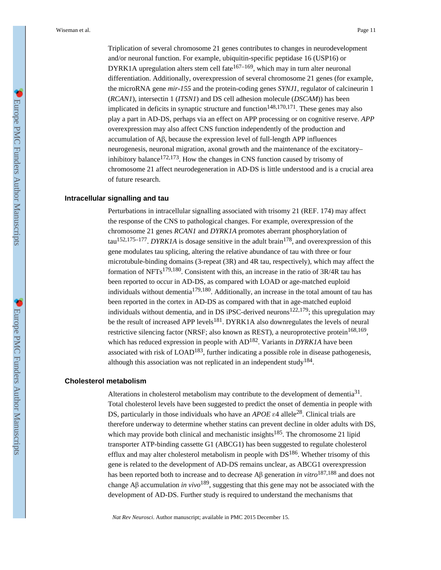Triplication of several chromosome 21 genes contributes to changes in neurodevelopment and/or neuronal function. For example, ubiquitin-specific peptidase 16 (USP16) or DYRK1A upregulation alters stem cell fate<sup>167–169</sup>, which may in turn alter neuronal differentiation. Additionally, overexpression of several chromosome 21 genes (for example, the microRNA gene *mir-155* and the protein-coding genes *SYNJ1*, regulator of calcineurin 1 (*RCAN1*), intersectin 1 (*ITSN1*) and DS cell adhesion molecule (*DSCAM*)) has been implicated in deficits in synaptic structure and function<sup> $148,170,171$ </sup>. These genes may also play a part in AD-DS, perhaps via an effect on APP processing or on cognitive reserve. *APP*  overexpression may also affect CNS function independently of the production and accumulation of Aβ, because the expression level of full-length APP influences neurogenesis, neuronal migration, axonal growth and the maintenance of the excitatory– inhibitory balance<sup>172,173</sup>. How the changes in CNS function caused by trisomy of chromosome 21 affect neurodegeneration in AD-DS is little understood and is a crucial area of future research.

#### **Intracellular signalling and tau**

Perturbations in intracellular signalling associated with trisomy 21 (REF. 174) may affect the response of the CNS to pathological changes. For example, overexpression of the chromosome 21 genes *RCAN1* and *DYRK1A* promotes aberrant phosphorylation of tau<sup>152,175–177</sup>. *DYRK1A* is dosage sensitive in the adult brain<sup>178</sup>, and overexpression of this gene modulates tau splicing, altering the relative abundance of tau with three or four microtubule-binding domains (3-repeat (3R) and 4R tau, respectively), which may affect the formation of NFTs<sup>179,180</sup>. Consistent with this, an increase in the ratio of  $3R/4R$  tau has been reported to occur in AD-DS, as compared with LOAD or age-matched euploid individuals without dementia<sup>179,180</sup>. Additionally, an increase in the total amount of tau has been reported in the cortex in AD-DS as compared with that in age-matched euploid individuals without dementia, and in DS iPSC-derived neurons<sup>122,179</sup>; this upregulation may be the result of increased APP levels<sup>181</sup>. DYRK1A also downregulates the levels of neural restrictive silencing factor (NRSF; also known as REST), a neuroprotective protein<sup>168,169</sup>, which has reduced expression in people with  $AD^{182}$ . Variants in *DYRK1A* have been associated with risk of  $LOAD^{183}$ , further indicating a possible role in disease pathogenesis, although this association was not replicated in an independent study<sup>184</sup>.

#### **Cholesterol metabolism**

Alterations in cholesterol metabolism may contribute to the development of dementia $31$ . Total cholesterol levels have been suggested to predict the onset of dementia in people with DS, particularly in those individuals who have an *APOE* ε4 allele28. Clinical trials are therefore underway to determine whether statins can prevent decline in older adults with DS, which may provide both clinical and mechanistic insights<sup>185</sup>. The chromosome 21 lipid transporter ATP-binding cassette G1 (ABCG1) has been suggested to regulate cholesterol efflux and may alter cholesterol metabolism in people with  $DS^{186}$ . Whether trisomy of this gene is related to the development of AD-DS remains unclear, as ABCG1 overexpression has been reported both to increase and to decrease Aβ generation *in vitro*187,188 and does not change Aβ accumulation *in vivo*189, suggesting that this gene may not be associated with the development of AD-DS. Further study is required to understand the mechanisms that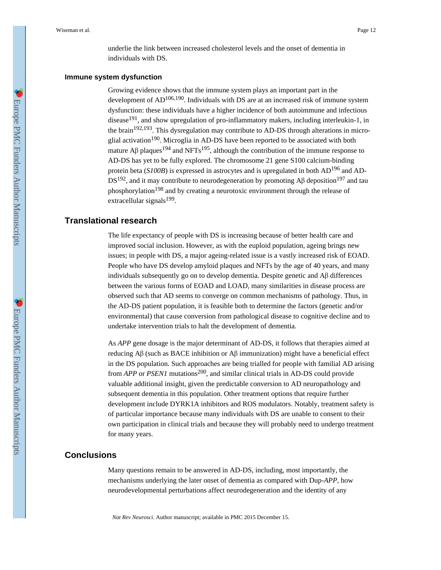underlie the link between increased cholesterol levels and the onset of dementia in individuals with DS.

#### **Immune system dysfunction**

Growing evidence shows that the immune system plays an important part in the development of  $AD^{106,190}$ . Individuals with DS are at an increased risk of immune system dysfunction: these individuals have a higher incidence of both autoimmune and infectious disease<sup>191</sup>, and show upregulation of pro-inflammatory makers, including interleukin-1, in the brain<sup>192,193</sup>. This dysregulation may contribute to AD-DS through alterations in microglial activation<sup>190</sup>. Microglia in AD-DS have been reported to be associated with both mature A $\beta$  plaques<sup>194</sup> and NFTs<sup>195</sup>, although the contribution of the immune response to AD-DS has yet to be fully explored. The chromosome 21 gene S100 calcium-binding protein beta (*S100B*) is expressed in astrocytes and is upregulated in both AD196 and AD- $DS^{192}$ , and it may contribute to neurodegeneration by promoting A $\beta$  deposition<sup>197</sup> and tau phosphorylation<sup>198</sup> and by creating a neurotoxic environment through the release of extracellular signals<sup>199</sup>.

### **Translational research**

The life expectancy of people with DS is increasing because of better health care and improved social inclusion. However, as with the euploid population, ageing brings new issues; in people with DS, a major ageing-related issue is a vastly increased risk of EOAD. People who have DS develop amyloid plaques and NFTs by the age of 40 years, and many individuals subsequently go on to develop dementia. Despite genetic and Aβ differences between the various forms of EOAD and LOAD, many similarities in disease process are observed such that AD seems to converge on common mechanisms of pathology. Thus, in the AD-DS patient population, it is feasible both to determine the factors (genetic and/or environmental) that cause conversion from pathological disease to cognitive decline and to undertake intervention trials to halt the development of dementia.

As *APP* gene dosage is the major determinant of AD-DS, it follows that therapies aimed at reducing Aβ (such as BACE inhibition or Aβ immunization) might have a beneficial effect in the DS population. Such approaches are being trialled for people with familial AD arising from *APP* or *PSEN1* mutations200, and similar clinical trials in AD-DS could provide valuable additional insight, given the predictable conversion to AD neuropathology and subsequent dementia in this population. Other treatment options that require further development include DYRK1A inhibitors and ROS modulators. Notably, treatment safety is of particular importance because many individuals with DS are unable to consent to their own participation in clinical trials and because they will probably need to undergo treatment for many years.

### **Conclusions**

Many questions remain to be answered in AD-DS, including, most importantly, the mechanisms underlying the later onset of dementia as compared with Dup-*APP*, how neurodevelopmental perturbations affect neurodegeneration and the identity of any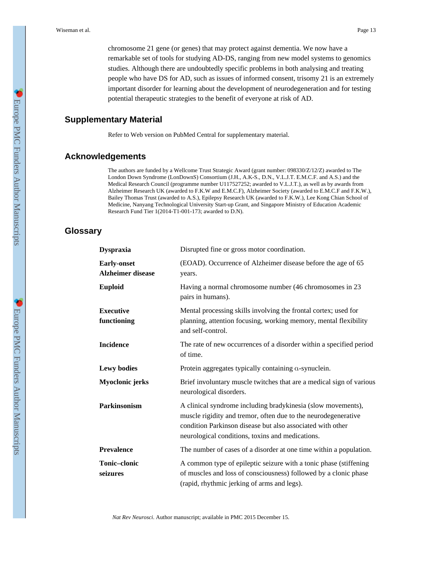chromosome 21 gene (or genes) that may protect against dementia. We now have a remarkable set of tools for studying AD-DS, ranging from new model systems to genomics studies. Although there are undoubtedly specific problems in both analysing and treating people who have DS for AD, such as issues of informed consent, trisomy 21 is an extremely important disorder for learning about the development of neurodegeneration and for testing potential therapeutic strategies to the benefit of everyone at risk of AD.

### **Supplementary Material**

Refer to Web version on PubMed Central for supplementary material.

### **Acknowledgements**

The authors are funded by a Wellcome Trust Strategic Award (grant number: 098330/Z/12/Z) awarded to The London Down Syndrome (LonDownS) Consortium (J.H., A.K-S., D.N., V.L.J.T. E.M.C.F. and A.S.) and the Medical Research Council (programme number U117527252; awarded to V.L.J.T.), as well as by awards from Alzheimer Research UK (awarded to F.K.W and E.M.C.F), Alzheimer Society (awarded to E.M.C.F and F.K.W.), Bailey Thomas Trust (awarded to A.S.), Epilepsy Research UK (awarded to F.K.W.), Lee Kong Chian School of Medicine, Nanyang Technological University Start-up Grant, and Singapore Ministry of Education Academic Research Fund Tier 1(2014-T1-001-173; awarded to D.N).

### **Glossary**

| <b>Dyspraxia</b>                               | Disrupted fine or gross motor coordination.                                                                                                                                                                                                      |  |  |  |  |
|------------------------------------------------|--------------------------------------------------------------------------------------------------------------------------------------------------------------------------------------------------------------------------------------------------|--|--|--|--|
| <b>Early-onset</b><br><b>Alzheimer disease</b> | (EOAD). Occurrence of Alzheimer disease before the age of 65<br>years.                                                                                                                                                                           |  |  |  |  |
| <b>Euploid</b>                                 | Having a normal chromosome number (46 chromosomes in 23<br>pairs in humans).                                                                                                                                                                     |  |  |  |  |
| <b>Executive</b><br>functioning                | Mental processing skills involving the frontal cortex; used for<br>planning, attention focusing, working memory, mental flexibility<br>and self-control.                                                                                         |  |  |  |  |
| <b>Incidence</b>                               | The rate of new occurrences of a disorder within a specified period<br>of time.                                                                                                                                                                  |  |  |  |  |
| <b>Lewy bodies</b>                             | Protein aggregates typically containing a-synuclein.                                                                                                                                                                                             |  |  |  |  |
| Myoclonic jerks                                | Brief involuntary muscle twitches that are a medical sign of various<br>neurological disorders.                                                                                                                                                  |  |  |  |  |
| <b>Parkinsonism</b>                            | A clinical syndrome including bradykinesia (slow movements),<br>muscle rigidity and tremor, often due to the neurodegenerative<br>condition Parkinson disease but also associated with other<br>neurological conditions, toxins and medications. |  |  |  |  |
| <b>Prevalence</b>                              | The number of cases of a disorder at one time within a population.                                                                                                                                                                               |  |  |  |  |
| Tonic-clonic<br>seizures                       | A common type of epileptic seizure with a tonic phase (stiffening<br>of muscles and loss of consciousness) followed by a clonic phase<br>(rapid, rhythmic jerking of arms and legs).                                                             |  |  |  |  |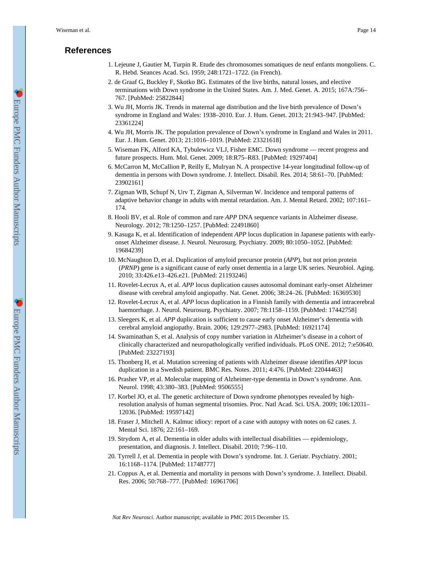### **References**

- 1. Lejeune J, Gautier M, Turpin R. Etude des chromosomes somatiques de neuf enfants mongoliens. C. R. Hebd. Seances Acad. Sci. 1959; 248:1721–1722. (in French).
- 2. de Graaf G, Buckley F, Skotko BG. Estimates of the live births, natural losses, and elective terminations with Down syndrome in the United States. Am. J. Med. Genet. A. 2015; 167A:756– 767. [PubMed: 25822844]
- 3. Wu JH, Morris JK. Trends in maternal age distribution and the live birth prevalence of Down's syndrome in England and Wales: 1938–2010. Eur. J. Hum. Genet. 2013; 21:943–947. [PubMed: 23361224]
- 4. Wu JH, Morris JK. The population prevalence of Down's syndrome in England and Wales in 2011. Eur. J. Hum. Genet. 2013; 21:1016–1019. [PubMed: 23321618]
- 5. Wiseman FK, Alford KA, Tybulewicz VLJ, Fisher EMC. Down syndrome recent progress and future prospects. Hum. Mol. Genet. 2009; 18:R75–R83. [PubMed: 19297404]
- 6. McCarron M, McCallion P, Reilly E, Mulryan N. A prospective 14-year longitudinal follow-up of dementia in persons with Down syndrome. J. Intellect. Disabil. Res. 2014; 58:61–70. [PubMed: 23902161]
- 7. Zigman WB, Schupf N, Urv T, Zigman A, Silverman W. Incidence and temporal patterns of adaptive behavior change in adults with mental retardation. Am. J. Mental Retard. 2002; 107:161– 174.
- 8. Hooli BV, et al. Role of common and rare *APP* DNA sequence variants in Alzheimer disease. Neurology. 2012; 78:1250–1257. [PubMed: 22491860]
- 9. Kasuga K, et al. Identification of independent *APP* locus duplication in Japanese patients with earlyonset Alzheimer disease. J. Neurol. Neurosurg. Psychiatry. 2009; 80:1050–1052. [PubMed: 19684239]
- 10. McNaughton D, et al. Duplication of amyloid precursor protein (*APP*), but not prion protein (*PRNP*) gene is a significant cause of early onset dementia in a large UK series. Neurobiol. Aging. 2010; 33:426.e13–426.e21. [PubMed: 21193246]
- 11. Rovelet-Lecrux A, et al. *APP* locus duplication causes autosomal dominant early-onset Alzheimer disease with cerebral amyloid angiopathy. Nat. Genet. 2006; 38:24–26. [PubMed: 16369530]
- 12. Rovelet-Lecrux A, et al. *APP* locus duplication in a Finnish family with dementia and intracerebral haemorrhage. J. Neurol. Neurosurg. Psychiatry. 2007; 78:1158–1159. [PubMed: 17442758]
- 13. Sleegers K, et al. *APP* duplication is sufficient to cause early onset Alzheimer's dementia with cerebral amyloid angiopathy. Brain. 2006; 129:2977–2983. [PubMed: 16921174]
- 14. Swaminathan S, et al. Analysis of copy number variation in Alzheimer's disease in a cohort of clinically characterized and neuropathologically verified individuals. PLoS ONE. 2012; 7:e50640. [PubMed: 23227193]
- 15. Thonberg H, et al. Mutation screening of patients with Alzheimer disease identifies *APP* locus duplication in a Swedish patient. BMC Res. Notes. 2011; 4:476. [PubMed: 22044463]
- 16. Prasher VP, et al. Molecular mapping of Alzheimer-type dementia in Down's syndrome. Ann. Neurol. 1998; 43:380–383. [PubMed: 9506555]
- 17. Korbel JO, et al. The genetic architecture of Down syndrome phenotypes revealed by highresolution analysis of human segmental trisomies. Proc. Natl Acad. Sci. USA. 2009; 106:12031– 12036. [PubMed: 19597142]
- 18. Fraser J, Mitchell A. Kalmuc idiocy: report of a case with autopsy with notes on 62 cases. J. Mental Sci. 1876; 22:161–169.
- 19. Strydom A, et al. Dementia in older adults with intellectual disabilities epidemiology, presentation, and diagnosis. J. Intellect. Disabil. 2010; 7:96–110.
- 20. Tyrrell J, et al. Dementia in people with Down's syndrome. Int. J. Geriatr. Psychiatry. 2001; 16:1168–1174. [PubMed: 11748777]
- 21. Coppus A, et al. Dementia and mortality in persons with Down's syndrome. J. Intellect. Disabil. Res. 2006; 50:768–777. [PubMed: 16961706]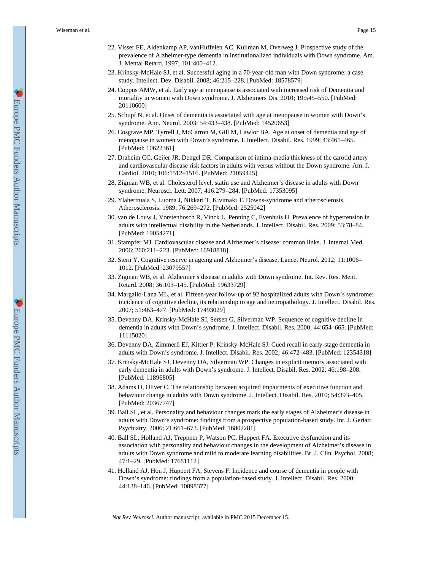- 22. Visser FE, Aldenkamp AP, vanHuffelen AC, Kuilman M, Overweg J. Prospective study of the prevalence of Alzheimer-type dementia in institutionalized individuals with Down syndrome. Am. J. Mental Retard. 1997; 101:400–412.
- 23. Krinsky-McHale SJ, et al. Successful aging in a 70-year-old man with Down syndrome: a case study. Intellect. Dev. Disabil. 2008; 46:215–228. [PubMed: 18578579]
- 24. Coppus AMW, et al. Early age at menopause is associated with increased risk of Dementia and mortality in women with Down syndrome. J. Alzheimers Dis. 2010; 19:545–550. [PubMed: 20110600]
- 25. Schupf N, et al. Onset of dementia is associated with age at menopause in women with Down's syndrome. Ann. Neurol. 2003; 54:433–438. [PubMed: 14520653]
- 26. Cosgrave MP, Tyrrell J, McCarron M, Gill M, Lawlor BA. Age at onset of dementia and age of menopause in women with Down's syndrome. J. Intellect. Disabil. Res. 1999; 43:461–465. [PubMed: 10622361]
- 27. Draheim CC, Geijer JR, Dengel DR. Comparison of intima-media thickness of the carotid artery and cardiovascular disease risk factors in adults with versus without the Down syndrome. Am. J. Cardiol. 2010; 106:1512–1516. [PubMed: 21059445]
- 28. Zigman WB, et al. Cholesterol level, statin use and Alzheimer's disease in adults with Down syndrome. Neurosci. Lett. 2007; 416:279–284. [PubMed: 17353095]
- 29. Ylaherttuala S, Luoma J, Nikkari T, Kivimaki T. Downs-syndrome and atherosclerosis. Atherosclerosis. 1989; 76:269–272. [PubMed: 2525042]
- 30. van de Louw J, Vorstenbosch R, Vinck L, Penning C, Evenhuis H. Prevalence of hypertension in adults with intellectual disability in the Netherlands. J. Intellect. Disabil. Res. 2009; 53:78–84. [PubMed: 19054271]
- 31. Stampfer MJ. Cardiovascular disease and Alzheimer's disease: common links. J. Internal Med. 2006; 260:211–223. [PubMed: 16918818]
- 32. Stern Y. Cognitive reserve in ageing and Alzheimer's disease. Lancet Neurol. 2012; 11:1006– 1012. [PubMed: 23079557]
- 33. Zigman WB, et al. Alzheimer's disease in adults with Down syndrome. Int. Rev. Res. Ment. Retard. 2008; 36:103–145. [PubMed: 19633729]
- 34. Margallo-Lana ML, et al. Fifteen-year follow-up of 92 hospitalized adults with Down's syndrome: incidence of cognitive decline, its relationship to age and neuropathology. J. Intellect. Disabil. Res. 2007; 51:463–477. [PubMed: 17493029]
- 35. Devenny DA, Krinsky-McHale SJ, Sersen G, Silverman WP. Sequence of cognitive decline in dementia in adults with Down's syndrome. J. Intellect. Disabil. Res. 2000; 44:654–665. [PubMed: 11115020]
- 36. Devenny DA, Zimmerli EJ, Kittler P, Krinsky-McHale SJ. Cued recall in early-stage dementia in adults with Down's syndrome. J. Intellect. Disabil. Res. 2002; 46:472–483. [PubMed: 12354318]
- 37. Krinsky-McHale SJ, Devenny DA, Silverman WP. Changes in explicit memory associated with early dementia in adults with Down's syndrome. J. Intellect. Disabil. Res. 2002; 46:198–208. [PubMed: 11896805]
- 38. Adams D, Oliver C. The relationship between acquired impairments of executive function and behaviour change in adults with Down syndrome. J. Intellect. Disabil. Res. 2010; 54:393–405. [PubMed: 20367747]
- 39. Ball SL, et al. Personality and behaviour changes mark the early stages of Alzheimer's disease in adults with Down's syndrome: findings from a prospective population-based study. Int. J. Geriatr. Psychiatry. 2006; 21:661–673. [PubMed: 16802281]
- 40. Ball SL, Holland AJ, Treppner P, Watson PC, Huppert FA. Executive dysfunction and its association with personality and behaviour changes in the development of Alzheimer's disease in adults with Down syndrome and mild to moderate learning disabilities. Br. J. Clin. Psychol. 2008; 47:1–29. [PubMed: 17681112]
- 41. Holland AJ, Hon J, Huppert FA, Stevens F. Incidence and course of dementia in people with Down's syndrome: findings from a population-based study. J. Intellect. Disabil. Res. 2000; 44:138–146. [PubMed: 10898377]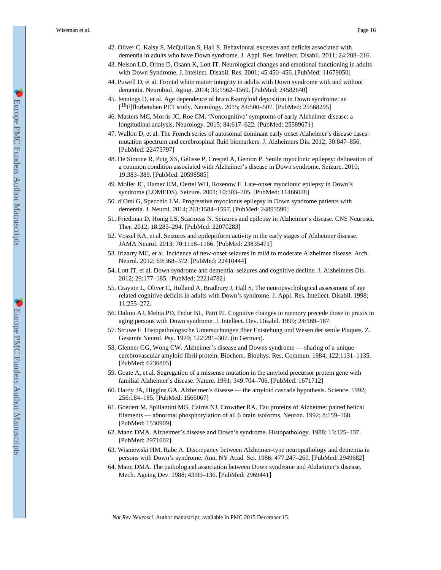- 42. Oliver C, Kalsy S, McQuillan S, Hall S. Behavioural excesses and deficits associated with dementia in adults who have Down syndrome. J. Appl. Res. Intellect. Disabil. 2011; 24:208–216.
- 43. Nelson LD, Orme D, Osann K, Lott IT. Neurological changes and emotional functioning in adults with Down Syndrome. J. Intellect. Disabil. Res. 2001; 45:450–456. [PubMed: 11679050]
- 44. Powell D, et al. Frontal white matter integrity in adults with Down syndrome with and without dementia. Neurobiol. Aging. 2014; 35:1562–1569. [PubMed: 24582640]
- 45. Jennings D, et al. Age dependence of brain ß-amyloid deposition in Down syndrome: an [ <sup>18</sup>F]florbetaben PET study. Neurology. 2015; 84:500–507. [PubMed: 25568295]
- 46. Masters MC, Morris JC, Roe CM. 'Noncognitive' symptoms of early Alzheimer disease: a longitudinal analysis. Neurology. 2015; 84:617–622. [PubMed: 25589671]
- 47. Wallon D, et al. The French series of autosomal dominant early onset Alzheimer's disease cases: mutation spectrum and cerebrospinal fluid biomarkers. J. Alzheimers Dis. 2012; 30:847–856. [PubMed: 22475797]
- 48. De Simone R, Puig XS, Gélisse P, Crespel A, Genton P. Senile myoclonic epilepsy: delineation of a common condition associated with Alzheimer's disease in Down syndrome. Seizure. 2010; 19:383–389. [PubMed: 20598585]
- 49. Moller JC, Hamer HM, Oertel WH, Rosenow F. Late-onset myoclonic epilepsy in Down's syndrome (LOMEDS). Seizure. 2001; 10:303–305. [PubMed: 11466028]
- 50. d'Orsi G, Specchio LM. Progressive myoclonus epilepsy in Down syndrome patients with dementia. J. Neurol. 2014; 261:1584–1597. [PubMed: 24893590]
- 51. Friedman D, Honig LS, Scarmeas N. Seizures and epilepsy in Alzheimer's disease. CNS Neurosci. Ther. 2012; 18:285–294. [PubMed: 22070283]
- 52. Vossel KA, et al. Seizures and epileptiform activity in the early stages of Alzheimer disease. JAMA Neurol. 2013; 70:1158–1166. [PubMed: 23835471]
- 53. Irizarry MC, et al. Incidence of new-onset seizures in mild to moderate Alzheimer disease. Arch. Neurol. 2012; 69:368–372. [PubMed: 22410444]
- 54. Lott IT, et al. Down syndrome and dementia: seizures and cognitive decline. J. Alzheimers Dis. 2012; 29:177–185. [PubMed: 22214782]
- 55. Crayton L, Oliver C, Holland A, Bradbury J, Hall S. The neuropsychological assessment of age related cognitive deficits in adults with Down's syndrome. J. Appl. Res. Intellect. Disabil. 1998; 11:255–272.
- 56. Dalton AJ, Mehta PD, Fedor BL, Patti PJ. Cognitive changes in memory precede those in praxis in aging persons with Down syndrome. J. Intellect. Dev. Disabil. 1999; 24:169–187.
- 57. Struwe F. Histopathologische Untersuchungen über Entstehung und Wesen der senile Plaques. Z. Gesamte Neurol. Psy. 1929; 122:291–307. (in German).
- 58. Glenner GG, Wong CW. Alzheimer's disease and Downs syndrome sharing of a unique cerebrovascular amyloid fibril protein. Biochem. Biophys. Res. Commun. 1984; 122:1131–1135. [PubMed: 6236805]
- 59. Goate A, et al. Segregation of a missense mutation in the amyloid precursor protein gene with familial Alzheimer's disease. Nature. 1991; 349:704–706. [PubMed: 1671712]
- 60. Hardy JA, Higgins GA. Alzheimer's disease the amyloid cascade hypothesis. Science. 1992; 256:184–185. [PubMed: 1566067]
- 61. Goedert M, Spillantini MG, Cairns NJ, Crowther RA. Tau proteins of Alzheimer paired helical filaments — abnormal phosphorylation of all 6 brain isoforms. Neuron. 1992; 8:159–168. [PubMed: 1530909]
- 62. Mann DMA. Alzheimer's disease and Down's syndrome. Histopathology. 1988; 13:125–137. [PubMed: 2971602]
- 63. Wisniewski HM, Rabe A. Discrepancy between Alzheimer-type neuropathology and dementia in persons with Down's syndrome. Ann. NY Acad. Sci. 1986; 477:247–260. [PubMed: 2949682]
- 64. Mann DMA. The pathological association between Down syndrome and Alzheimer's disease. Mech. Ageing Dev. 1988; 43:99–136. [PubMed: 2969441]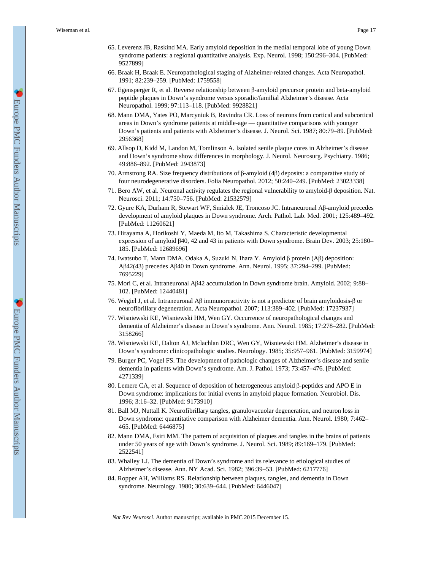- 65. Leverenz JB, Raskind MA. Early amyloid deposition in the medial temporal lobe of young Down syndrome patients: a regional quantitative analysis. Exp. Neurol. 1998; 150:296–304. [PubMed: 9527899]
- 66. Braak H, Braak E. Neuropathological staging of Alzheimer-related changes. Acta Neuropathol. 1991; 82:239–259. [PubMed: 1759558]
- 67. Egensperger R, et al. Reverse relationship between β-amyloid precursor protein and beta-amyloid peptide plaques in Down's syndrome versus sporadic/familial Alzheimer's disease. Acta Neuropathol. 1999; 97:113–118. [PubMed: 9928821]
- 68. Mann DMA, Yates PO, Marcyniuk B, Ravindra CR. Loss of neurons from cortical and subcortical areas in Down's syndrome patients at middle-age — quantitative comparisons with younger Down's patients and patients with Alzheimer's disease. J. Neurol. Sci. 1987; 80:79–89. [PubMed: 2956368]
- 69. Allsop D, Kidd M, Landon M, Tomlinson A. Isolated senile plaque cores in Alzheimer's disease and Down's syndrome show differences in morphology. J. Neurol. Neurosurg. Psychiatry. 1986; 49:886–892. [PubMed: 2943873]
- 70. Armstrong RA. Size frequency distributions of β-amyloid (4β) deposits: a comparative study of four neurodegenerative disorders. Folia Neuropathol. 2012; 50:240–249. [PubMed: 23023338]
- 71. Bero AW, et al. Neuronal activity regulates the regional vulnerability to amyloid-β deposition. Nat. Neurosci. 2011; 14:750–756. [PubMed: 21532579]
- 72. Gyure KA, Durham R, Stewart WF, Smialek JE, Troncoso JC. Intraneuronal Aβ-amyloid precedes development of amyloid plaques in Down syndrome. Arch. Pathol. Lab. Med. 2001; 125:489–492. [PubMed: 11260621]
- 73. Hirayama A, Horikoshi Y, Maeda M, Ito M, Takashima S. Characteristic developmental expression of amyloid β40, 42 and 43 in patients with Down syndrome. Brain Dev. 2003; 25:180– 185. [PubMed: 12689696]
- 74. Iwatsubo T, Mann DMA, Odaka A, Suzuki N, Ihara Y. Amyloid β protein (Aβ) deposition: Aβ42(43) precedes Aβ40 in Down syndrome. Ann. Neurol. 1995; 37:294–299. [PubMed: 7695229]
- 75. Mori C, et al. Intraneuronal Aβ42 accumulation in Down syndrome brain. Amyloid. 2002; 9:88– 102. [PubMed: 12440481]
- 76. Wegiel J, et al. Intraneuronal Aβ immunoreactivity is not a predictor of brain amyloidosis-β or neurofibrillary degeneration. Acta Neuropathol. 2007; 113:389–402. [PubMed: 17237937]
- 77. Wisniewski KE, Wisniewski HM, Wen GY. Occurrence of neuropathological changes and dementia of Alzheimer's disease in Down's syndrome. Ann. Neurol. 1985; 17:278–282. [PubMed: 3158266]
- 78. Wisniewski KE, Dalton AJ, Mclachlan DRC, Wen GY, Wisniewski HM. Alzheimer's disease in Down's syndrome: clinicopathologic studies. Neurology. 1985; 35:957–961. [PubMed: 3159974]
- 79. Burger PC, Vogel FS. The development of pathologic changes of Alzheimer's disease and senile dementia in patients with Down's syndrome. Am. J. Pathol. 1973; 73:457–476. [PubMed: 4271339]
- 80. Lemere CA, et al. Sequence of deposition of heterogeneous amyloid β-peptides and APO E in Down syndrome: implications for initial events in amyloid plaque formation. Neurobiol. Dis. 1996; 3:16–32. [PubMed: 9173910]
- 81. Ball MJ, Nuttall K. Neurofibrillary tangles, granulovacuolar degeneration, and neuron loss in Down syndrome: quantitative comparison with Alzheimer dementia. Ann. Neurol. 1980; 7:462– 465. [PubMed: 6446875]
- 82. Mann DMA, Esiri MM. The pattern of acquisition of plaques and tangles in the brains of patients under 50 years of age with Down's syndrome. J. Neurol. Sci. 1989; 89:169–179. [PubMed: 2522541]
- 83. Whalley LJ. The dementia of Down's syndrome and its relevance to etiological studies of Alzheimer's disease. Ann. NY Acad. Sci. 1982; 396:39–53. [PubMed: 6217776]
- 84. Ropper AH, Williams RS. Relationship between plaques, tangles, and dementia in Down syndrome. Neurology. 1980; 30:639–644. [PubMed: 6446047]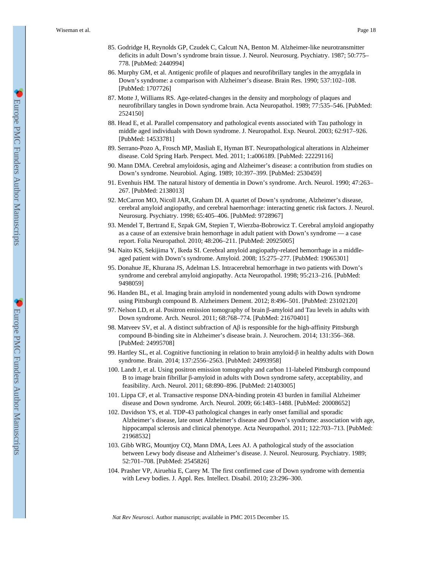- 85. Godridge H, Reynolds GP, Czudek C, Calcutt NA, Benton M. Alzheimer-like neurotransmitter deficits in adult Down's syndrome brain tissue. J. Neurol. Neurosurg. Psychiatry. 1987; 50:775– 778. [PubMed: 2440994]
- 86. Murphy GM, et al. Antigenic profile of plaques and neurofibrillary tangles in the amygdala in Down's syndrome: a comparison with Alzheimer's disease. Brain Res. 1990; 537:102–108. [PubMed: 1707726]
- 87. Motte J, Williams RS. Age-related-changes in the density and morphology of plaques and neurofibrillary tangles in Down syndrome brain. Acta Neuropathol. 1989; 77:535–546. [PubMed: 2524150]
- 88. Head E, et al. Parallel compensatory and pathological events associated with Tau pathology in middle aged individuals with Down syndrome. J. Neuropathol. Exp. Neurol. 2003; 62:917–926. [PubMed: 14533781]
- 89. Serrano-Pozo A, Frosch MP, Masliah E, Hyman BT. Neuropathological alterations in Alzheimer disease. Cold Spring Harb. Perspect. Med. 2011; 1:a006189. [PubMed: 22229116]
- 90. Mann DMA. Cerebral amyloidosis, aging and Alzheimer's disease: a contribution from studies on Down's syndrome. Neurobiol. Aging. 1989; 10:397–399. [PubMed: 2530459]
- 91. Evenhuis HM. The natural history of dementia in Down's syndrome. Arch. Neurol. 1990; 47:263– 267. [PubMed: 2138013]
- 92. McCarron MO, Nicoll JAR, Graham DI. A quartet of Down's syndrome, Alzheimer's disease, cerebral amyloid angiopathy, and cerebral haemorrhage: interacting genetic risk factors. J. Neurol. Neurosurg. Psychiatry. 1998; 65:405–406. [PubMed: 9728967]
- 93. Mendel T, Bertrand E, Szpak GM, Stepien T, Wierzba-Bobrowicz T. Cerebral amyloid angiopathy as a cause of an extensive brain hemorrhage in adult patient with Down's syndrome — a case report. Folia Neuropathol. 2010; 48:206–211. [PubMed: 20925005]
- 94. Naito KS, Sekijima Y, Ikeda SI. Cerebral amyloid angiopathy-related hemorrhage in a middleaged patient with Down's syndrome. Amyloid. 2008; 15:275–277. [PubMed: 19065301]
- 95. Donahue JE, Khurana JS, Adelman LS. Intracerebral hemorrhage in two patients with Down's syndrome and cerebral amyloid angiopathy. Acta Neuropathol. 1998; 95:213–216. [PubMed: 9498059]
- 96. Handen BL, et al. Imaging brain amyloid in nondemented young adults with Down syndrome using Pittsburgh compound B. Alzheimers Dement. 2012; 8:496–501. [PubMed: 23102120]
- 97. Nelson LD, et al. Positron emission tomography of brain β-amyloid and Tau levels in adults with Down syndrome. Arch. Neurol. 2011; 68:768–774. [PubMed: 21670401]
- 98. Matveev SV, et al. A distinct subfraction of  $\beta \beta$  is responsible for the high-affinity Pittsburgh compound B-binding site in Alzheimer's disease brain. J. Neurochem. 2014; 131:356–368. [PubMed: 24995708]
- 99. Hartley SL, et al. Cognitive functioning in relation to brain amyloid-β in healthy adults with Down syndrome. Brain. 2014; 137:2556–2563. [PubMed: 24993958]
- 100. Landt J, et al. Using positron emission tomography and carbon 11-labeled Pittsburgh compound B to image brain fibrillar β-amyloid in adults with Down syndrome safety, acceptability, and feasibility. Arch. Neurol. 2011; 68:890–896. [PubMed: 21403005]
- 101. Lippa CF, et al. Transactive response DNA-binding protein 43 burden in familial Alzheimer disease and Down syndrome. Arch. Neurol. 2009; 66:1483–1488. [PubMed: 20008652]
- 102. Davidson YS, et al. TDP-43 pathological changes in early onset familial and sporadic Alzheimer's disease, late onset Alzheimer's disease and Down's syndrome: association with age, hippocampal sclerosis and clinical phenotype. Acta Neuropathol. 2011; 122:703-713. [PubMed: 21968532]
- 103. Gibb WRG, Mountjoy CQ, Mann DMA, Lees AJ. A pathological study of the association between Lewy body disease and Alzheimer's disease. J. Neurol. Neurosurg. Psychiatry. 1989; 52:701–708. [PubMed: 2545826]
- 104. Prasher VP, Airuehia E, Carey M. The first confirmed case of Down syndrome with dementia with Lewy bodies. J. Appl. Res. Intellect. Disabil. 2010; 23:296–300.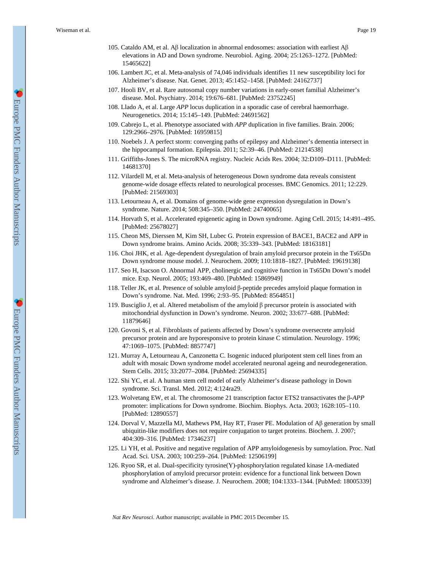- 105. Cataldo AM, et al. Aβ localization in abnormal endosomes: association with earliest Aβ elevations in AD and Down syndrome. Neurobiol. Aging. 2004; 25:1263–1272. [PubMed: 15465622]
- 106. Lambert JC, et al. Meta-analysis of 74,046 individuals identifies 11 new susceptibility loci for Alzheimer's disease. Nat. Genet. 2013; 45:1452–1458. [PubMed: 24162737]
- 107. Hooli BV, et al. Rare autosomal copy number variations in early-onset familial Alzheimer's disease. Mol. Psychiatry. 2014; 19:676–681. [PubMed: 23752245]
- 108. Llado A, et al. Large *APP* locus duplication in a sporadic case of cerebral haemorrhage. Neurogenetics. 2014; 15:145–149. [PubMed: 24691562]
- 109. Cabrejo L, et al. Phenotype associated with *APP* duplication in five families. Brain. 2006; 129:2966–2976. [PubMed: 16959815]
- 110. Noebels J. A perfect storm: converging paths of epilepsy and Alzheimer's dementia intersect in the hippocampal formation. Epilepsia. 2011; 52:39–46. [PubMed: 21214538]
- 111. Griffiths-Jones S. The microRNA registry. Nucleic Acids Res. 2004; 32:D109–D111. [PubMed: 14681370]
- 112. Vilardell M, et al. Meta-analysis of heterogeneous Down syndrome data reveals consistent genome-wide dosage effects related to neurological processes. BMC Genomics. 2011; 12:229. [PubMed: 21569303]
- 113. Letourneau A, et al. Domains of genome-wide gene expression dysregulation in Down's syndrome. Nature. 2014; 508:345–350. [PubMed: 24740065]
- 114. Horvath S, et al. Accelerated epigenetic aging in Down syndrome. Aging Cell. 2015; 14:491–495. [PubMed: 25678027]
- 115. Cheon MS, Dierssen M, Kim SH, Lubec G. Protein expression of BACE1, BACE2 and APP in Down syndrome brains. Amino Acids. 2008; 35:339–343. [PubMed: 18163181]
- 116. Choi JHK, et al. Age-dependent dysregulation of brain amyloid precursor protein in the Ts65Dn Down syndrome mouse model. J. Neurochem. 2009; 110:1818–1827. [PubMed: 19619138]
- 117. Seo H, Isacson O. Abnormal APP, cholinergic and cognitive function in Ts65Dn Down's model mice. Exp. Neurol. 2005; 193:469–480. [PubMed: 15869949]
- 118. Teller JK, et al. Presence of soluble amyloid β-peptide precedes amyloid plaque formation in Down's syndrome. Nat. Med. 1996; 2:93–95. [PubMed: 8564851]
- 119. Busciglio J, et al. Altered metabolism of the amyloid β precursor protein is associated with mitochondrial dysfunction in Down's syndrome. Neuron. 2002; 33:677–688. [PubMed: 11879646]
- 120. Govoni S, et al. Fibroblasts of patients affected by Down's syndrome oversecrete amyloid precursor protein and are hyporesponsive to protein kinase C stimulation. Neurology. 1996; 47:1069–1075. [PubMed: 8857747]
- 121. Murray A, Letourneau A, Canzonetta C. Isogenic induced pluripotent stem cell lines from an adult with mosaic Down syndrome model accelerated neuronal ageing and neurodegeneration. Stem Cells. 2015; 33:2077–2084. [PubMed: 25694335]
- 122. Shi YC, et al. A human stem cell model of early Alzheimer's disease pathology in Down syndrome. Sci. Transl. Med. 2012; 4:124ra29.
- 123. Wolvetang EW, et al. The chromosome 21 transcription factor ETS2 transactivates the β-*APP*  promoter: implications for Down syndrome. Biochim. Biophys. Acta. 2003; 1628:105–110. [PubMed: 12890557]
- 124. Dorval V, Mazzella MJ, Mathews PM, Hay RT, Fraser PE. Modulation of Aβ generation by small ubiquitin-like modifiers does not require conjugation to target proteins. Biochem. J. 2007; 404:309–316. [PubMed: 17346237]
- 125. Li YH, et al. Positive and negative regulation of APP amyloidogenesis by sumoylation. Proc. Natl Acad. Sci. USA. 2003; 100:259–264. [PubMed: 12506199]
- 126. Ryoo SR, et al. Dual-specificity tyrosine(Y)-phosphorylation regulated kinase 1A-mediated phosphorylation of amyloid precursor protein: evidence for a functional link between Down syndrome and Alzheimer's disease. J. Neurochem. 2008; 104:1333–1344. [PubMed: 18005339]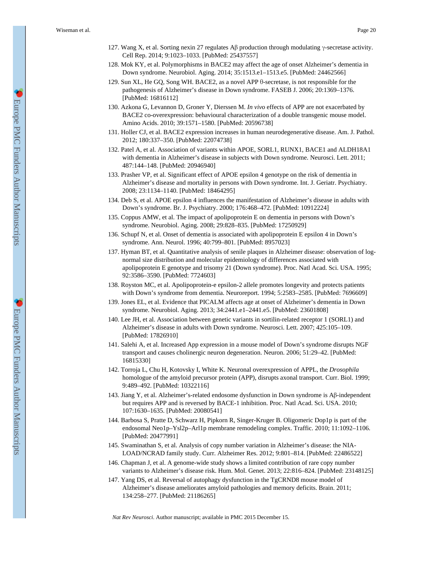- 127. Wang X, et al. Sorting nexin 27 regulates Aβ production through modulating γ-secretase activity. Cell Rep. 2014; 9:1023–1033. [PubMed: 25437557]
- 128. Mok KY, et al. Polymorphisms in BACE2 may affect the age of onset Alzheimer's dementia in Down syndrome. Neurobiol. Aging. 2014; 35:1513.e1–1513.e5. [PubMed: 24462566]
- 129. Sun XL, He GQ, Song WH. BACE2, as a novel APP θ-secretase, is not responsible for the pathogenesis of Alzheimer's disease in Down syndrome. FASEB J. 2006; 20:1369–1376. [PubMed: 16816112]
- 130. Azkona G, Levannon D, Groner Y, Dierssen M. *In vivo* effects of APP are not exacerbated by BACE2 co-overexpression: behavioural characterization of a double transgenic mouse model. Amino Acids. 2010; 39:1571–1580. [PubMed: 20596738]
- 131. Holler CJ, et al. BACE2 expression increases in human neurodegenerative disease. Am. J. Pathol. 2012; 180:337–350. [PubMed: 22074738]
- 132. Patel A, et al. Association of variants within APOE, SORL1, RUNX1, BACE1 and ALDH18A1 with dementia in Alzheimer's disease in subjects with Down syndrome. Neurosci. Lett. 2011; 487:144–148. [PubMed: 20946940]
- 133. Prasher VP, et al. Significant effect of APOE epsilon 4 genotype on the risk of dementia in Alzheimer's disease and mortality in persons with Down syndrome. Int. J. Geriatr. Psychiatry. 2008; 23:1134–1140. [PubMed: 18464295]
- 134. Deb S, et al. APOE epsilon 4 influences the manifestation of Alzheimer's disease in adults with Down's syndrome. Br. J. Psychiatry. 2000; 176:468–472. [PubMed: 10912224]
- 135. Coppus AMW, et al. The impact of apolipoprotein E on dementia in persons with Down's syndrome. Neurobiol. Aging. 2008; 29:828–835. [PubMed: 17250929]
- 136. Schupf N, et al. Onset of dementia is associated with apolipoprotein E epsilon 4 in Down's syndrome. Ann. Neurol. 1996; 40:799–801. [PubMed: 8957023]
- 137. Hyman BT, et al. Quantitative analysis of senile plaques in Alzheimer disease: observation of lognormal size distribution and molecular epidemiology of differences associated with apolipoprotein E genotype and trisomy 21 (Down syndrome). Proc. Natl Acad. Sci. USA. 1995; 92:3586–3590. [PubMed: 7724603]
- 138. Royston MC, et al. Apolipoprotein-e epsilon-2 allele promotes longevity and protects patients with Down's syndrome from dementia. Neuroreport. 1994; 5:2583–2585. [PubMed: 7696609]
- 139. Jones EL, et al. Evidence that PICALM affects age at onset of Alzheimer's dementia in Down syndrome. Neurobiol. Aging. 2013; 34:2441.e1–2441.e5. [PubMed: 23601808]
- 140. Lee JH, et al. Association between genetic variants in sortilin-related receptor 1 (SORL1) and Alzheimer's disease in adults with Down syndrome. Neurosci. Lett. 2007; 425:105–109. [PubMed: 17826910]
- 141. Salehi A, et al. Increased App expression in a mouse model of Down's syndrome disrupts NGF transport and causes cholinergic neuron degeneration. Neuron. 2006; 51:29–42. [PubMed: 16815330]
- 142. Torroja L, Chu H, Kotovsky I, White K. Neuronal overexpression of APPL, the *Drosophila*  homologue of the amyloid precursor protein (APP), disrupts axonal transport. Curr. Biol. 1999; 9:489–492. [PubMed: 10322116]
- 143. Jiang Y, et al. Alzheimer's-related endosome dysfunction in Down syndrome is Aβ-independent but requires APP and is reversed by BACE-1 inhibition. Proc. Natl Acad. Sci. USA. 2010; 107:1630–1635. [PubMed: 20080541]
- 144. Barbosa S, Pratte D, Schwarz H, Pipkorn R, Singer-Kruger B. Oligomeric Dop1p is part of the endosomal Neo1p–Ysl2p–Arl1p membrane remodeling complex. Traffic. 2010; 11:1092–1106. [PubMed: 20477991]
- 145. Swaminathan S, et al. Analysis of copy number variation in Alzheimer's disease: the NIA-LOAD/NCRAD family study. Curr. Alzheimer Res. 2012; 9:801–814. [PubMed: 22486522]
- 146. Chapman J, et al. A genome-wide study shows a limited contribution of rare copy number variants to Alzheimer's disease risk. Hum. Mol. Genet. 2013; 22:816–824. [PubMed: 23148125]
- 147. Yang DS, et al. Reversal of autophagy dysfunction in the TgCRND8 mouse model of Alzheimer's disease ameliorates amyloid pathologies and memory deficits. Brain. 2011; 134:258–277. [PubMed: 21186265]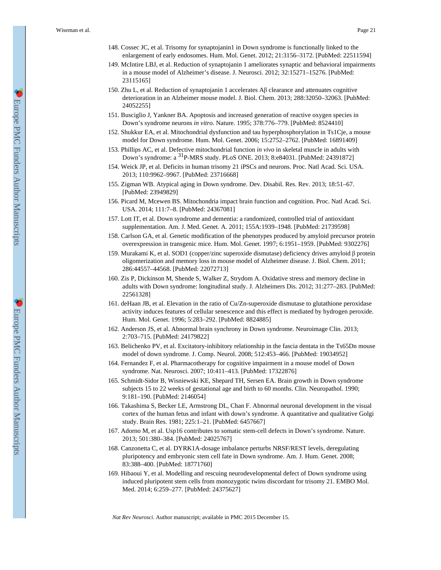- 148. Cossec JC, et al. Trisomy for synaptojanin1 in Down syndrome is functionally linked to the enlargement of early endosomes. Hum. Mol. Genet. 2012; 21:3156–3172. [PubMed: 22511594]
- 149. McIntire LBJ, et al. Reduction of synaptojanin 1 ameliorates synaptic and behavioral impairments in a mouse model of Alzheimer's disease. J. Neurosci. 2012; 32:15271–15276. [PubMed: 23115165]
- 150. Zhu L, et al. Reduction of synaptojanin 1 accelerates Aβ clearance and attenuates cognitive deterioration in an Alzheimer mouse model. J. Biol. Chem. 2013; 288:32050–32063. [PubMed: 24052255]
- 151. Busciglio J, Yankner BA. Apoptosis and increased generation of reactive oxygen species in Down's syndrome neurons *in vitro*. Nature. 1995; 378:776–779. [PubMed: 8524410]
- 152. Shukkur EA, et al. Mitochondrial dysfunction and tau hyperphosphorylation in Ts1Cje, a mouse model for Down syndrome. Hum. Mol. Genet. 2006; 15:2752–2762. [PubMed: 16891409]
- 153. Phillips AC, et al. Defective mitochondrial function *in vivo* in skeletal muscle in adults with Down's syndrome: a 31P-MRS study. PLoS ONE. 2013; 8:e84031. [PubMed: 24391872]
- 154. Weick JP, et al. Deficits in human trisomy 21 iPSCs and neurons. Proc. Natl Acad. Sci. USA. 2013; 110:9962–9967. [PubMed: 23716668]
- 155. Zigman WB. Atypical aging in Down syndrome. Dev. Disabil. Res. Rev. 2013; 18:51–67. [PubMed: 23949829]
- 156. Picard M, Mcewen BS. Mitochondria impact brain function and cognition. Proc. Natl Acad. Sci. USA. 2014; 111:7–8. [PubMed: 24367081]
- 157. Lott IT, et al. Down syndrome and dementia: a randomized, controlled trial of antioxidant supplementation. Am. J. Med. Genet. A. 2011; 155A:1939–1948. [PubMed: 21739598]
- 158. Carlson GA, et al. Genetic modification of the phenotypes produced by amyloid precursor protein overexpression in transgenic mice. Hum. Mol. Genet. 1997; 6:1951–1959. [PubMed: 9302276]
- 159. Murakami K, et al. SOD1 (copper/zinc superoxide dismutase) deficiency drives amyloid β protein oligomerization and memory loss in mouse model of Alzheimer disease. J. Biol. Chem. 2011; 286:44557–44568. [PubMed: 22072713]
- 160. Zis P, Dickinson M, Shende S, Walker Z, Strydom A. Oxidative stress and memory decline in adults with Down syndrome: longitudinal study. J. Alzheimers Dis. 2012; 31:277–283. [PubMed: 22561328]
- 161. deHaan JB, et al. Elevation in the ratio of Cu/Zn-superoxide dismutase to glutathione peroxidase activity induces features of cellular senescence and this effect is mediated by hydrogen peroxide. Hum. Mol. Genet. 1996; 5:283–292. [PubMed: 8824885]
- 162. Anderson JS, et al. Abnormal brain synchrony in Down syndrome. Neuroimage Clin. 2013; 2:703–715. [PubMed: 24179822]
- 163. Belichenko PV, et al. Excitatory-inhibitory relationship in the fascia dentata in the Ts65Dn mouse model of down syndrome. J. Comp. Neurol. 2008; 512:453–466. [PubMed: 19034952]
- 164. Fernandez F, et al. Pharmacotherapy for cognitive impairment in a mouse model of Down syndrome. Nat. Neurosci. 2007; 10:411–413. [PubMed: 17322876]
- 165. Schmidt-Sidor B, Wisniewski KE, Shepard TH, Sersen EA. Brain growth in Down syndrome subjects 15 to 22 weeks of gestational age and birth to 60 months. Clin. Neuropathol. 1990; 9:181–190. [PubMed: 2146054]
- 166. Takashima S, Becker LE, Armstrong DL, Chan F. Abnormal neuronal development in the visual cortex of the human fetus and infant with down's syndrome. A quantitative and qualitative Golgi study. Brain Res. 1981; 225:1–21. [PubMed: 6457667]
- 167. Adorno M, et al. Usp16 contributes to somatic stem-cell defects in Down's syndrome. Nature. 2013; 501:380–384. [PubMed: 24025767]
- 168. Canzonetta C, et al. DYRK1A-dosage imbalance perturbs NRSF/REST levels, deregulating pluripotency and embryonic stem cell fate in Down syndrome. Am. J. Hum. Genet. 2008; 83:388–400. [PubMed: 18771760]
- 169. Hibaoui Y, et al. Modelling and rescuing neurodevelopmental defect of Down syndrome using induced pluripotent stem cells from monozygotic twins discordant for trisomy 21. EMBO Mol. Med. 2014; 6:259–277. [PubMed: 24375627]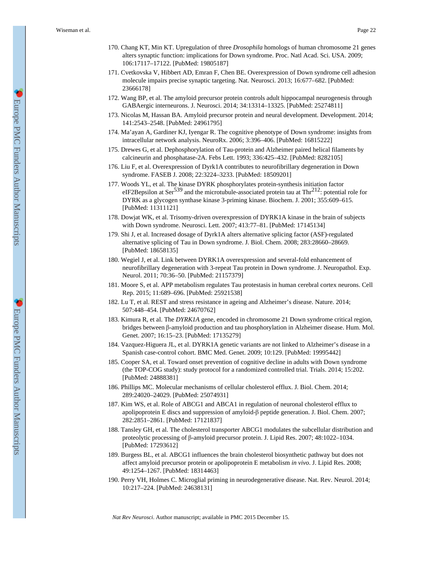- 170. Chang KT, Min KT. Upregulation of three *Drosophila* homologs of human chromosome 21 genes alters synaptic function: implications for Down syndrome. Proc. Natl Acad. Sci. USA. 2009; 106:17117–17122. [PubMed: 19805187]
- 171. Cvetkovska V, Hibbert AD, Emran F, Chen BE. Overexpression of Down syndrome cell adhesion molecule impairs precise synaptic targeting. Nat. Neurosci. 2013; 16:677–682. [PubMed: 23666178]
- 172. Wang BP, et al. The amyloid precursor protein controls adult hippocampal neurogenesis through GABAergic interneurons. J. Neurosci. 2014; 34:13314–13325. [PubMed: 25274811]
- 173. Nicolas M, Hassan BA. Amyloid precursor protein and neural development. Development. 2014; 141:2543–2548. [PubMed: 24961795]
- 174. Ma'ayan A, Gardiner KJ, Iyengar R. The cognitive phenotype of Down syndrome: insights from intracellular network analysis. NeuroRx. 2006; 3:396–406. [PubMed: 16815222]
- 175. Drewes G, et al. Dephosphorylation of Tau-protein and Alzheimer paired helical filaments by calcineurin and phosphatase-2A. Febs Lett. 1993; 336:425–432. [PubMed: 8282105]
- 176. Liu F, et al. Overexpression of Dyrk1A contributes to neurofibrillary degeneration in Down syndrome. FASEB J. 2008; 22:3224–3233. [PubMed: 18509201]
- 177. Woods YL, et al. The kinase DYRK phosphorylates protein-synthesis initiation factor eIF2Bepsilon at Ser<sup>539</sup> and the microtubule-associated protein tau at Thr<sup>212</sup>: potential role for DYRK as a glycogen synthase kinase 3-priming kinase. Biochem. J. 2001; 355:609–615. [PubMed: 11311121]
- 178. Dowjat WK, et al. Trisomy-driven overexpression of DYRK1A kinase in the brain of subjects with Down syndrome. Neurosci. Lett. 2007; 413:77–81. [PubMed: 17145134]
- 179. Shi J, et al. Increased dosage of Dyrk1A alters alternative splicing factor (ASF)-regulated alternative splicing of Tau in Down syndrome. J. Biol. Chem. 2008; 283:28660–28669. [PubMed: 18658135]
- 180. Wegiel J, et al. Link between DYRK1A overexpression and several-fold enhancement of neurofibrillary degeneration with 3-repeat Tau protein in Down syndrome. J. Neuropathol. Exp. Neurol. 2011; 70:36–50. [PubMed: 21157379]
- 181. Moore S, et al. APP metabolism regulates Tau protestasis in human cerebral cortex neurons. Cell Rep. 2015; 11:689–696. [PubMed: 25921538]
- 182. Lu T, et al. REST and stress resistance in ageing and Alzheimer's disease. Nature. 2014; 507:448–454. [PubMed: 24670762]
- 183. Kimura R, et al. The *DYRK1A* gene, encoded in chromosome 21 Down syndrome critical region, bridges between β-amyloid production and tau phosphorylation in Alzheimer disease. Hum. Mol. Genet. 2007; 16:15–23. [PubMed: 17135279]
- 184. Vazquez-Higuera JL, et al. DYRK1A genetic variants are not linked to Alzheimer's disease in a Spanish case-control cohort. BMC Med. Genet. 2009; 10:129. [PubMed: 19995442]
- 185. Cooper SA, et al. Toward onset prevention of cognitive decline in adults with Down syndrome (the TOP-COG study): study protocol for a randomized controlled trial. Trials. 2014; 15:202. [PubMed: 24888381]
- 186. Phillips MC. Molecular mechanisms of cellular cholesterol efflux. J. Biol. Chem. 2014; 289:24020–24029. [PubMed: 25074931]
- 187. Kim WS, et al. Role of ABCG1 and ABCA1 in regulation of neuronal cholesterol efflux to apolipoprotein E discs and suppression of amyloid-β peptide generation. J. Biol. Chem. 2007; 282:2851–2861. [PubMed: 17121837]
- 188. Tansley GH, et al. The cholesterol transporter ABCG1 modulates the subcellular distribution and proteolytic processing of β-amyloid precursor protein. J. Lipid Res. 2007; 48:1022–1034. [PubMed: 17293612]
- 189. Burgess BL, et al. ABCG1 influences the brain cholesterol biosynthetic pathway but does not affect amyloid precursor protein or apolipoprotein E metabolism *in vivo*. J. Lipid Res. 2008; 49:1254–1267. [PubMed: 18314463]
- 190. Perry VH, Holmes C. Microglial priming in neurodegenerative disease. Nat. Rev. Neurol. 2014; 10:217–224. [PubMed: 24638131]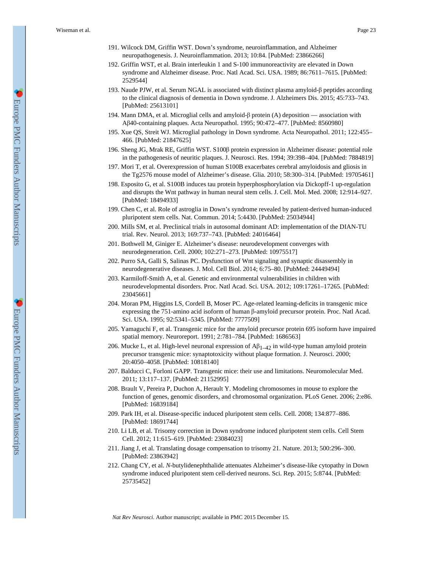- 191. Wilcock DM, Griffin WST. Down's syndrome, neuroinflammation, and Alzheimer neuropathogenesis. J. Neuroinflammation. 2013; 10:84. [PubMed: 23866266]
- 192. Griffin WST, et al. Brain interleukin 1 and S-100 immunoreactivity are elevated in Down syndrome and Alzheimer disease. Proc. Natl Acad. Sci. USA. 1989; 86:7611–7615. [PubMed: 2529544]
- 193. Naude PJW, et al. Serum NGAL is associated with distinct plasma amyloid-β peptides according to the clinical diagnosis of dementia in Down syndrome. J. Alzheimers Dis. 2015; 45:733–743. [PubMed: 25613101]
- 194. Mann DMA, et al. Microglial cells and amyloid-β protein (A) deposition association with Aβ40-containing plaques. Acta Neuropathol. 1995; 90:472–477. [PubMed: 8560980]
- 195. Xue QS, Streit WJ. Microglial pathology in Down syndrome. Acta Neuropathol. 2011; 122:455– 466. [PubMed: 21847625]
- 196. Sheng JG, Mrak RE, Griffin WST. S100β protein expression in Alzheimer disease: potential role in the pathogenesis of neuritic plaques. J. Neurosci. Res. 1994; 39:398–404. [PubMed: 7884819]
- 197. Mori T, et al. Overexpression of human S100B exacerbates cerebral amyloidosis and gliosis in the Tg2576 mouse model of Alzheimer's disease. Glia. 2010; 58:300–314. [PubMed: 19705461]
- 198. Esposito G, et al. S100B induces tau protein hyperphosphorylation via Dickopff-1 up-regulation and disrupts the Wnt pathway in human neural stem cells. J. Cell. Mol. Med. 2008; 12:914–927. [PubMed: 18494933]
- 199. Chen C, et al. Role of astroglia in Down's syndrome revealed by patient-derived human-induced pluripotent stem cells. Nat. Commun. 2014; 5:4430. [PubMed: 25034944]
- 200. Mills SM, et al. Preclinical trials in autosomal dominant AD: implementation of the DIAN-TU trial. Rev. Neurol. 2013; 169:737–743. [PubMed: 24016464]
- 201. Bothwell M, Giniger E. Alzheimer's disease: neurodevelopment converges with neurodegeneration. Cell. 2000; 102:271–273. [PubMed: 10975517]
- 202. Purro SA, Galli S, Salinas PC. Dysfunction of Wnt signaling and synaptic disassembly in neurodegenerative diseases. J. Mol. Cell Biol. 2014; 6:75–80. [PubMed: 24449494]
- 203. Karmiloff-Smith A, et al. Genetic and environmental vulnerabilities in children with neurodevelopmental disorders. Proc. Natl Acad. Sci. USA. 2012; 109:17261–17265. [PubMed: 23045661]
- 204. Moran PM, Higgins LS, Cordell B, Moser PC. Age-related learning-deficits in transgenic mice expressing the 751-amino acid isoform of human β-amyloid precursor protein. Proc. Natl Acad. Sci. USA. 1995; 92:5341–5345. [PubMed: 7777509]
- 205. Yamaguchi F, et al. Transgenic mice for the amyloid precursor protein 695 isoform have impaired spatial memory. Neuroreport. 1991; 2:781–784. [PubMed: 1686563]
- 206. Mucke L, et al. High-level neuronal expression of  $A\beta_{1-42}$  in wild-type human amyloid protein precursor transgenic mice: synaptotoxicity without plaque formation. J. Neurosci. 2000; 20:4050–4058. [PubMed: 10818140]
- 207. Balducci C, Forloni GAPP. Transgenic mice: their use and limitations. Neuromolecular Med. 2011; 13:117–137. [PubMed: 21152995]
- 208. Brault V, Pereira P, Duchon A, Herault Y. Modeling chromosomes in mouse to explore the function of genes, genomic disorders, and chromosomal organization. PLoS Genet. 2006; 2:e86. [PubMed: 16839184]
- 209. Park IH, et al. Disease-specific induced pluripotent stem cells. Cell. 2008; 134:877–886. [PubMed: 18691744]
- 210. Li LB, et al. Trisomy correction in Down syndrome induced pluripotent stem cells. Cell Stem Cell. 2012; 11:615–619. [PubMed: 23084023]
- 211. Jiang J, et al. Translating dosage compensation to trisomy 21. Nature. 2013; 500:296–300. [PubMed: 23863942]
- 212. Chang CY, et al. *N*-butylidenephthalide attenuates Alzheimer's disease-like cytopathy in Down syndrome induced pluripotent stem cell-derived neurons. Sci. Rep. 2015; 5:8744. [PubMed: 25735452]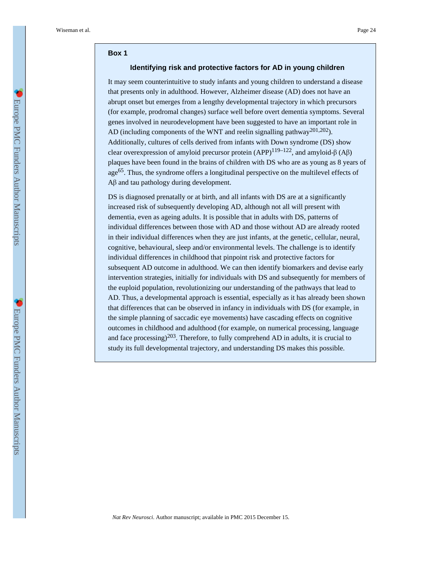#### **Box 1**

### **Identifying risk and protective factors for AD in young children**

It may seem counterintuitive to study infants and young children to understand a disease that presents only in adulthood. However, Alzheimer disease (AD) does not have an abrupt onset but emerges from a lengthy developmental trajectory in which precursors (for example, prodromal changes) surface well before overt dementia symptoms. Several genes involved in neurodevelopment have been suggested to have an important role in AD (including components of the WNT and reelin signalling pathway<sup>201,202</sup>). Additionally, cultures of cells derived from infants with Down syndrome (DS) show clear overexpression of amyloid precursor protein  $(APP)^{119-122}$ , and amyloid-β  $(A\beta)$ plaques have been found in the brains of children with DS who are as young as 8 years of age65. Thus, the syndrome offers a longitudinal perspective on the multilevel effects of Aβ and tau pathology during development.

DS is diagnosed prenatally or at birth, and all infants with DS are at a significantly increased risk of subsequently developing AD, although not all will present with dementia, even as ageing adults. It is possible that in adults with DS, patterns of individual differences between those with AD and those without AD are already rooted in their individual differences when they are just infants, at the genetic, cellular, neural, cognitive, behavioural, sleep and/or environmental levels. The challenge is to identify individual differences in childhood that pinpoint risk and protective factors for subsequent AD outcome in adulthood. We can then identify biomarkers and devise early intervention strategies, initially for individuals with DS and subsequently for members of the euploid population, revolutionizing our understanding of the pathways that lead to AD. Thus, a developmental approach is essential, especially as it has already been shown that differences that can be observed in infancy in individuals with DS (for example, in the simple planning of saccadic eye movements) have cascading effects on cognitive outcomes in childhood and adulthood (for example, on numerical processing, language and face processing)<sup>203</sup>. Therefore, to fully comprehend AD in adults, it is crucial to study its full developmental trajectory, and understanding DS makes this possible.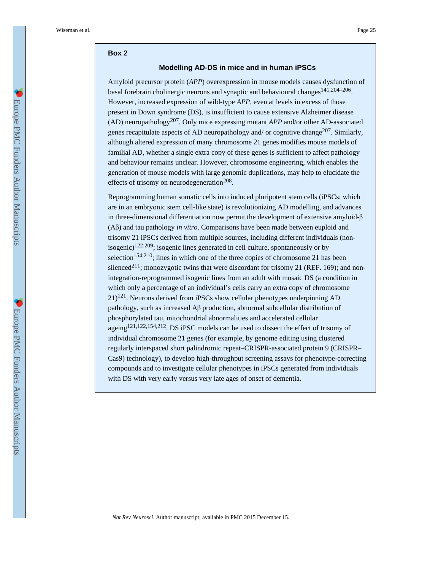#### **Box 2**

#### **Modelling AD-DS in mice and in human iPSCs**

Amyloid precursor protein (*APP*) overexpression in mouse models causes dysfunction of basal forebrain cholinergic neurons and synaptic and behavioural changes<sup>141,204–206</sup>. However, increased expression of wild-type *APP*, even at levels in excess of those present in Down syndrome (DS), is insufficient to cause extensive Alzheimer disease (AD) neuropathology207. Only mice expressing mutant *APP* and/or other AD-associated genes recapitulate aspects of AD neuropathology and/ or cognitive change<sup>207</sup>. Similarly, although altered expression of many chromosome 21 genes modifies mouse models of familial AD, whether a single extra copy of these genes is sufficient to affect pathology and behaviour remains unclear. However, chromosome engineering, which enables the generation of mouse models with large genomic duplications, may help to elucidate the effects of trisomy on neurodegeneration<sup>208</sup>.

Reprogramming human somatic cells into induced pluripotent stem cells (iPSCs; which are in an embryonic stem cell-like state) is revolutionizing AD modelling, and advances in three-dimensional differentiation now permit the development of extensive amyloid-β (Aβ) and tau pathology *in vitro*. Comparisons have been made between euploid and trisomy 21 iPSCs derived from multiple sources, including different individuals (nonisogenic)<sup>122,209</sup>; isogenic lines generated in cell culture, spontaneously or by selection<sup>154,210</sup>; lines in which one of the three copies of chromosome 21 has been silenced<sup>211</sup>; monozygotic twins that were discordant for trisomy 21 (REF. 169); and nonintegration-reprogrammed isogenic lines from an adult with mosaic DS (a condition in which only a percentage of an individual's cells carry an extra copy of chromosome  $21$ <sup>121</sup>. Neurons derived from iPSCs show cellular phenotypes underpinning AD pathology, such as increased Aβ production, abnormal subcellular distribution of phosphorylated tau, mitochondrial abnormalities and accelerated cellular ageing121,122,154,212. DS iPSC models can be used to dissect the effect of trisomy of individual chromosome 21 genes (for example, by genome editing using clustered regularly interspaced short palindromic repeat–CRISPR-associated protein 9 (CRISPR– Cas9) technology), to develop high-throughput screening assays for phenotype-correcting compounds and to investigate cellular phenotypes in iPSCs generated from individuals with DS with very early versus very late ages of onset of dementia.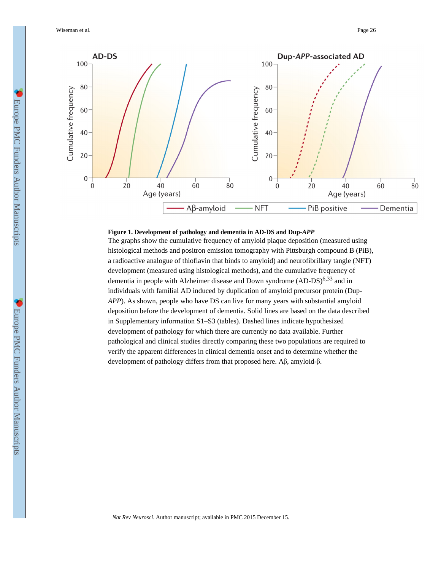Wiseman et al. Page 26



#### **Figure 1. Development of pathology and dementia in AD-DS and Dup-***APP*

The graphs show the cumulative frequency of amyloid plaque deposition (measured using histological methods and positron emission tomography with Pittsburgh compound B (PiB), a radioactive analogue of thioflavin that binds to amyloid) and neurofibrillary tangle (NFT) development (measured using histological methods), and the cumulative frequency of dementia in people with Alzheimer disease and Down syndrome  $(AD-DS)^{6,33}$  and in individuals with familial AD induced by duplication of amyloid precursor protein (Dup-*APP*). As shown, people who have DS can live for many years with substantial amyloid deposition before the development of dementia. Solid lines are based on the data described in Supplementary information S1–S3 (tables). Dashed lines indicate hypothesized development of pathology for which there are currently no data available. Further pathological and clinical studies directly comparing these two populations are required to verify the apparent differences in clinical dementia onset and to determine whether the development of pathology differs from that proposed here. Aβ, amyloid-β.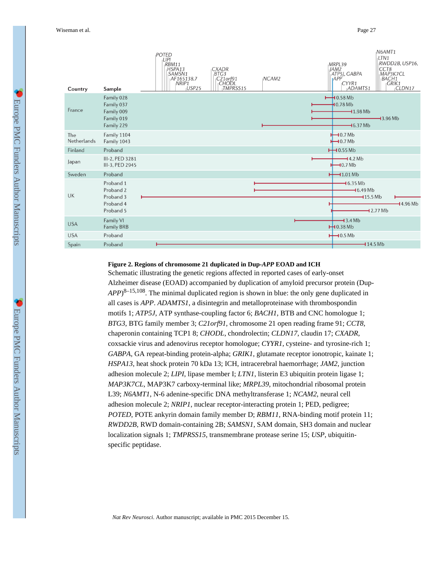| Country            | Sample                                                             | <b>POTED</b><br>LIPI<br>RBM11<br>HSPA13<br>SAMSN1<br>AF165138.7<br>NRIP1<br>USP <sub>25</sub> | <b>CXADR</b><br>BTG3<br>C21orf91<br><b>CHODL</b><br>TMPRSS15 | NCAM2 | MRPL39<br>JAM2<br>ATP5J, GABPA<br> APP<br>CYYR1<br>ADAMTS1    | N6AMT1<br>LTN <sub>1</sub><br>RWDD2B, USP16,<br>CCT8<br>MAP3K7CL<br><b>BACH1</b><br>GRIK1<br>CLDN17 |
|--------------------|--------------------------------------------------------------------|-----------------------------------------------------------------------------------------------|--------------------------------------------------------------|-------|---------------------------------------------------------------|-----------------------------------------------------------------------------------------------------|
| France             | Family 028<br>Family 037<br>Family 009<br>Family 019<br>Family 229 |                                                                                               |                                                              |       | $\rightarrow$ 0.58 Mb<br>10.78Mb<br>$-11.98$ Mb<br>$-16.37Mb$ | $-13.96Mb$                                                                                          |
| The<br>Netherlands | Family 1104<br>Family 1043                                         |                                                                                               |                                                              |       | $\bigcup$ 0.7 Mb<br>$\biguparrow$ 0.7 Mb                      |                                                                                                     |
| Finland            | Proband                                                            |                                                                                               |                                                              |       | $\overline{+}$ 0.55 Mb                                        |                                                                                                     |
| Japan              | III-2, PED 3281<br>III-3, PED 2945                                 |                                                                                               |                                                              |       | $-4.2Mb$<br>$-10.7Mb$                                         |                                                                                                     |
| Sweden             | Proband                                                            |                                                                                               |                                                              |       | $+$ 1.01 Mb                                                   |                                                                                                     |
| UK                 | Proband 1<br>Proband 2<br>Proband 3                                |                                                                                               |                                                              |       | $-16.35Mb$<br>$-16.49Mb$<br>$-15.5Mb$                         |                                                                                                     |
|                    | Proband 4<br>Proband 5                                             |                                                                                               |                                                              |       |                                                               | $-14.96 Mb$<br>$-12.77Mb$                                                                           |
| <b>USA</b>         | Family VI<br><b>Family BRB</b>                                     |                                                                                               |                                                              |       | $-13.4Mb$<br>$H$ 0.38 Mb                                      |                                                                                                     |
| <b>USA</b>         | Proband                                                            |                                                                                               |                                                              |       | $\bigcup$ 0.5 Mb                                              |                                                                                                     |
| Spain              | Proband                                                            |                                                                                               |                                                              |       | $-114.5Mb$                                                    |                                                                                                     |

#### **Figure 2. Regions of chromosome 21 duplicated in Dup-***APP* **EOAD and ICH**

Schematic illustrating the genetic regions affected in reported cases of early-onset Alzheimer disease (EOAD) accompanied by duplication of amyloid precursor protein (Dup-*APP*) 8–15,108. The minimal duplicated region is shown in blue: the only gene duplicated in all cases is *APP*. *ADAMTS1*, a disintegrin and metalloproteinase with thrombospondin motifs 1; *ATP5J*, ATP synthase-coupling factor 6; *BACH1*, BTB and CNC homologue 1; *BTG3*, BTG family member 3; *C21orf91*, chromosome 21 open reading frame 91; *CCT8*, chaperonin containing TCP1 8; *CHODL*, chondrolectin; *CLDN17*, claudin 17; *CXADR*, coxsackie virus and adenovirus receptor homologue; *CYYR1*, cysteine- and tyrosine-rich 1; *GABPA*, GA repeat-binding protein-alpha; *GRIK1*, glutamate receptor ionotropic, kainate 1; *HSPA13*, heat shock protein 70 kDa 13; ICH, intracerebral haemorrhage; *JAM2*, junction adhesion molecule 2; *LIPI*, lipase member I; *LTN1*, listerin E3 ubiquitin protein ligase 1; *MAP3K7CL*, MAP3K7 carboxy-terminal like; *MRPL39*, mitochondrial ribosomal protein L39; *N6AMT1*, N-6 adenine-specific DNA methyltransferase 1; *NCAM2*, neural cell adhesion molecule 2; *NRIP1*, nuclear receptor-interacting protein 1; PED, pedigree; *POTED*, POTE ankyrin domain family member D; *RBM11*, RNA-binding motif protein 11; *RWDD2B*, RWD domain-containing 2B; *SAMSN1*, SAM domain, SH3 domain and nuclear localization signals 1; *TMPRSS15*, transmembrane protease serine 15; *USP*, ubiquitinspecific peptidase.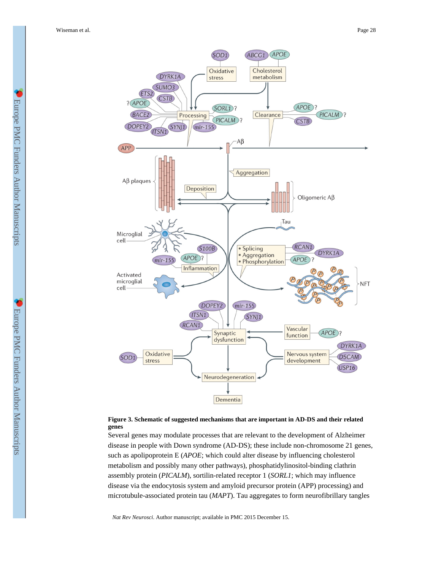



Several genes may modulate processes that are relevant to the development of Alzheimer disease in people with Down syndrome (AD-DS); these include non-chromosome 21 genes, such as apolipoprotein E (*APOE*; which could alter disease by influencing cholesterol metabolism and possibly many other pathways), phosphatidylinositol-binding clathrin assembly protein (*PICALM*), sortilin-related receptor 1 (*SORL1*; which may influence disease via the endocytosis system and amyloid precursor protein (APP) processing) and microtubule-associated protein tau (*MAPT*). Tau aggregates to form neurofibrillary tangles